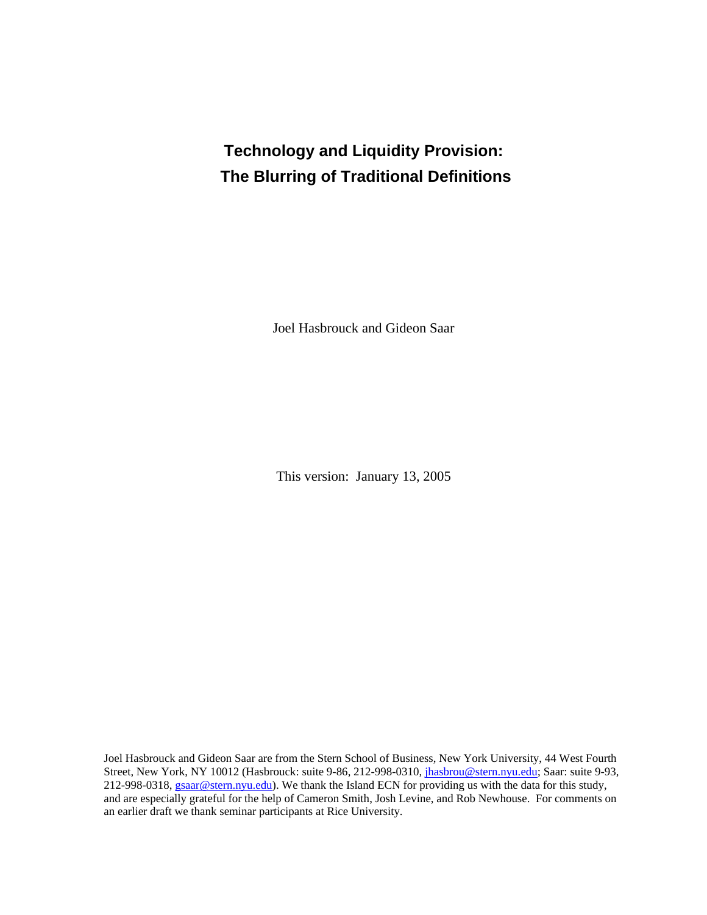# **Technology and Liquidity Provision: The Blurring of Traditional Definitions**

Joel Hasbrouck and Gideon Saar

This version: January 13, 2005

Joel Hasbrouck and Gideon Saar are from the Stern School of Business, New York University, 44 West Fourth Street, New York, NY 10012 (Hasbrouck: suite 9-86, 212-998-0310, [jhasbrou@stern.nyu.edu;](mailto:jhasbrou@stern.nyu.edu) Saar: suite 9-93, 212-998-0318, [gsaar@stern.nyu.edu\)](mailto:gsaar@stern.nyu.edu). We thank the Island ECN for providing us with the data for this study, and are especially grateful for the help of Cameron Smith, Josh Levine, and Rob Newhouse. For comments on an earlier draft we thank seminar participants at Rice University.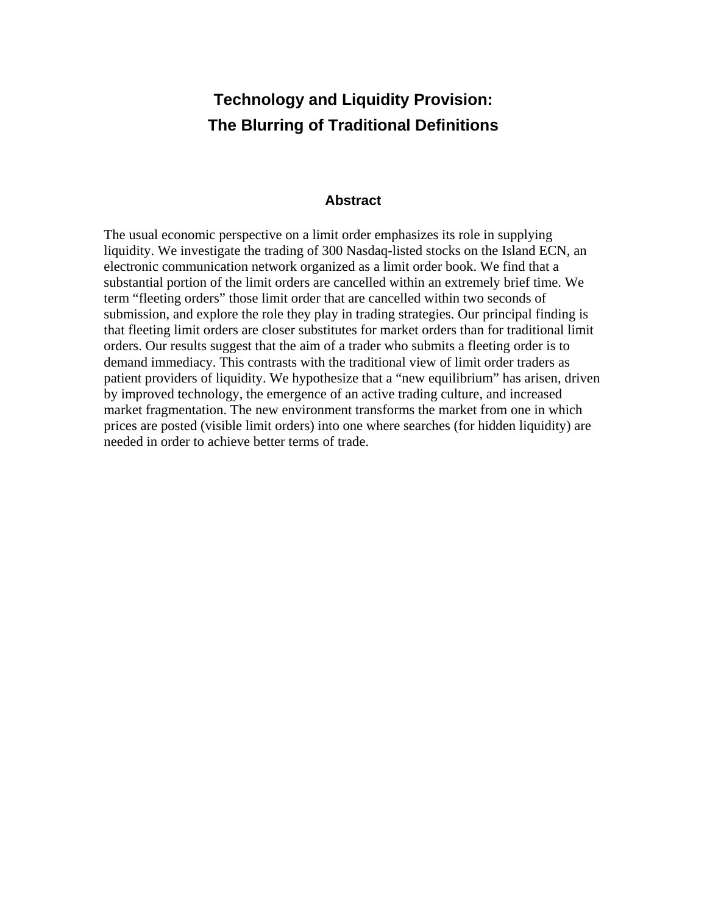## **Technology and Liquidity Provision: The Blurring of Traditional Definitions**

## **Abstract**

The usual economic perspective on a limit order emphasizes its role in supplying liquidity. We investigate the trading of 300 Nasdaq-listed stocks on the Island ECN, an electronic communication network organized as a limit order book. We find that a substantial portion of the limit orders are cancelled within an extremely brief time. We term "fleeting orders" those limit order that are cancelled within two seconds of submission, and explore the role they play in trading strategies. Our principal finding is that fleeting limit orders are closer substitutes for market orders than for traditional limit orders. Our results suggest that the aim of a trader who submits a fleeting order is to demand immediacy. This contrasts with the traditional view of limit order traders as patient providers of liquidity. We hypothesize that a "new equilibrium" has arisen, driven by improved technology, the emergence of an active trading culture, and increased market fragmentation. The new environment transforms the market from one in which prices are posted (visible limit orders) into one where searches (for hidden liquidity) are needed in order to achieve better terms of trade.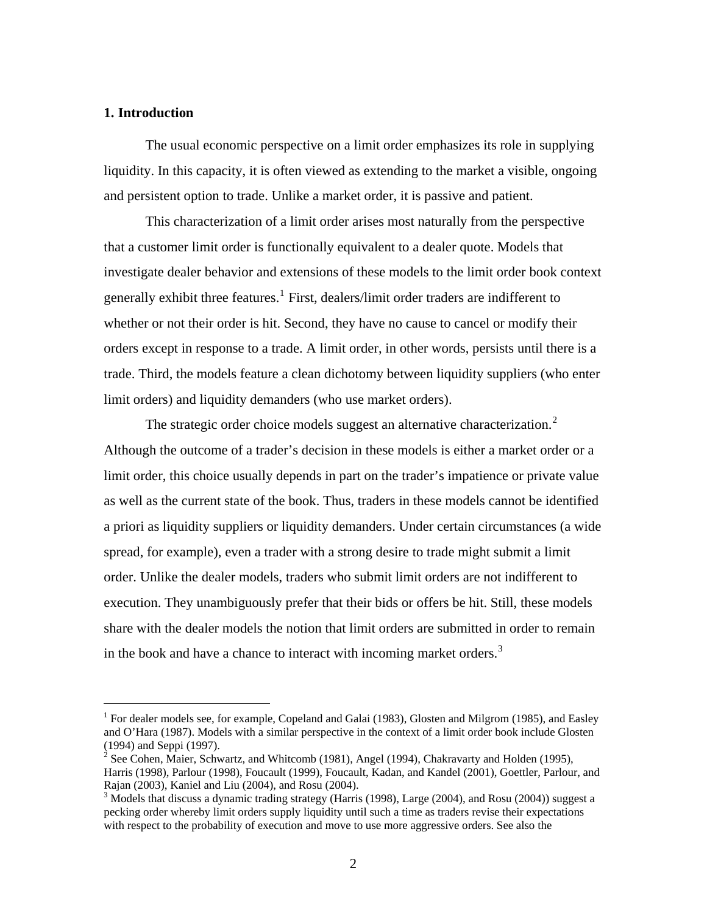#### **1. Introduction**

 $\overline{a}$ 

The usual economic perspective on a limit order emphasizes its role in supplying liquidity. In this capacity, it is often viewed as extending to the market a visible, ongoing and persistent option to trade. Unlike a market order, it is passive and patient.

This characterization of a limit order arises most naturally from the perspective that a customer limit order is functionally equivalent to a dealer quote. Models that investigate dealer behavior and extensions of these models to the limit order book context generally exhibit three features.<sup>[1](#page-2-0)</sup> First, dealers/limit order traders are indifferent to whether or not their order is hit. Second, they have no cause to cancel or modify their orders except in response to a trade. A limit order, in other words, persists until there is a trade. Third, the models feature a clean dichotomy between liquidity suppliers (who enter limit orders) and liquidity demanders (who use market orders).

The strategic order choice models suggest an alternative characterization.<sup>[2](#page-2-1)</sup> Although the outcome of a trader's decision in these models is either a market order or a limit order, this choice usually depends in part on the trader's impatience or private value as well as the current state of the book. Thus, traders in these models cannot be identified a priori as liquidity suppliers or liquidity demanders. Under certain circumstances (a wide spread, for example), even a trader with a strong desire to trade might submit a limit order. Unlike the dealer models, traders who submit limit orders are not indifferent to execution. They unambiguously prefer that their bids or offers be hit. Still, these models share with the dealer models the notion that limit orders are submitted in order to remain in the book and have a chance to interact with incoming market orders.<sup>[3](#page-2-2)</sup>

<span id="page-2-0"></span><sup>&</sup>lt;sup>1</sup> For dealer models see, for example, Copeland and Galai (1983), Glosten and Milgrom (1985), and Easley and O'Hara (1987). Models with a similar perspective in the context of a limit order book include Glosten (1994) and Seppi (1997).

<span id="page-2-1"></span><sup>&</sup>lt;sup>2</sup> See Cohen, Maier, Schwartz, and Whitcomb (1981), Angel (1994), Chakravarty and Holden (1995), Harris (1998), Parlour (1998), Foucault (1999), Foucault, Kadan, and Kandel (2001), Goettler, Parlour, and Rajan (2003), Kaniel and Liu (2004), and Rosu (2004).

<span id="page-2-2"></span> $3$  Models that discuss a dynamic trading strategy (Harris (1998), Large (2004), and Rosu (2004)) suggest a pecking order whereby limit orders supply liquidity until such a time as traders revise their expectations with respect to the probability of execution and move to use more aggressive orders. See also the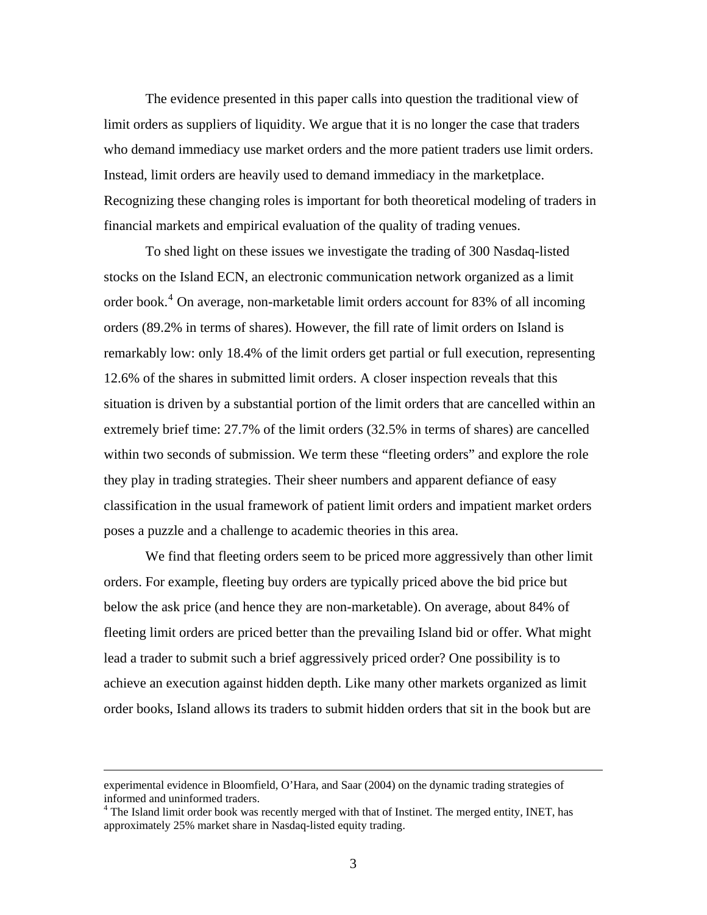The evidence presented in this paper calls into question the traditional view of limit orders as suppliers of liquidity. We argue that it is no longer the case that traders who demand immediacy use market orders and the more patient traders use limit orders. Instead, limit orders are heavily used to demand immediacy in the marketplace. Recognizing these changing roles is important for both theoretical modeling of traders in financial markets and empirical evaluation of the quality of trading venues.

To shed light on these issues we investigate the trading of 300 Nasdaq-listed stocks on the Island ECN, an electronic communication network organized as a limit order book.<sup>[4](#page-3-0)</sup> On average, non-marketable limit orders account for 83% of all incoming orders (89.2% in terms of shares). However, the fill rate of limit orders on Island is remarkably low: only 18.4% of the limit orders get partial or full execution, representing 12.6% of the shares in submitted limit orders. A closer inspection reveals that this situation is driven by a substantial portion of the limit orders that are cancelled within an extremely brief time: 27.7% of the limit orders (32.5% in terms of shares) are cancelled within two seconds of submission. We term these "fleeting orders" and explore the role they play in trading strategies. Their sheer numbers and apparent defiance of easy classification in the usual framework of patient limit orders and impatient market orders poses a puzzle and a challenge to academic theories in this area.

We find that fleeting orders seem to be priced more aggressively than other limit orders. For example, fleeting buy orders are typically priced above the bid price but below the ask price (and hence they are non-marketable). On average, about 84% of fleeting limit orders are priced better than the prevailing Island bid or offer. What might lead a trader to submit such a brief aggressively priced order? One possibility is to achieve an execution against hidden depth. Like many other markets organized as limit order books, Island allows its traders to submit hidden orders that sit in the book but are

experimental evidence in Bloomfield, O'Hara, and Saar (2004) on the dynamic trading strategies of informed and uninformed traders.

<span id="page-3-0"></span><sup>&</sup>lt;sup>4</sup> The Island limit order book was recently merged with that of Instinet. The merged entity, INET, has approximately 25% market share in Nasdaq-listed equity trading.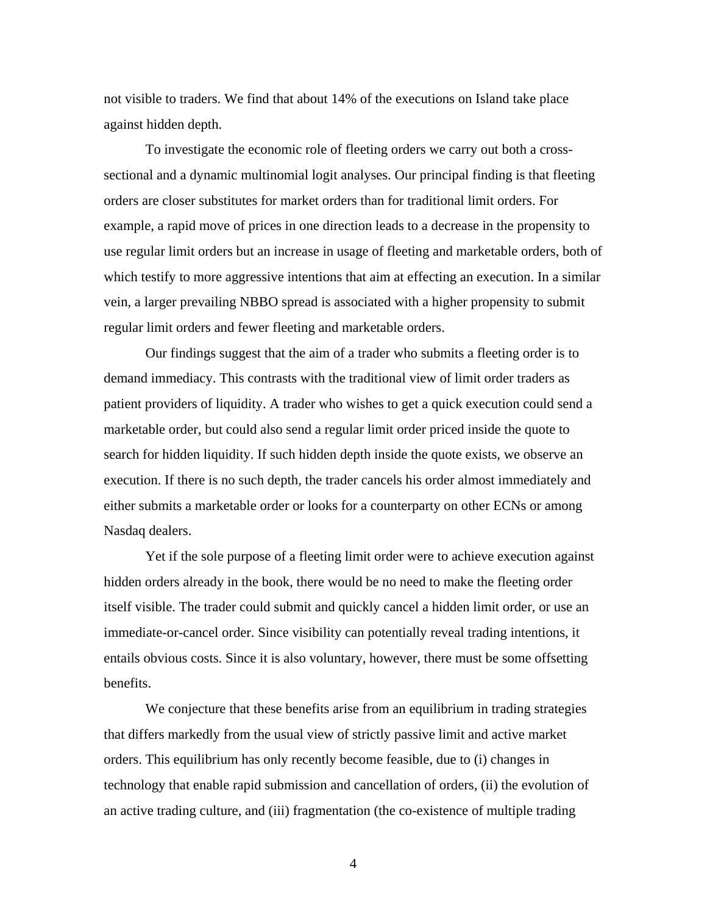not visible to traders. We find that about 14% of the executions on Island take place against hidden depth.

To investigate the economic role of fleeting orders we carry out both a crosssectional and a dynamic multinomial logit analyses. Our principal finding is that fleeting orders are closer substitutes for market orders than for traditional limit orders. For example, a rapid move of prices in one direction leads to a decrease in the propensity to use regular limit orders but an increase in usage of fleeting and marketable orders, both of which testify to more aggressive intentions that aim at effecting an execution. In a similar vein, a larger prevailing NBBO spread is associated with a higher propensity to submit regular limit orders and fewer fleeting and marketable orders.

Our findings suggest that the aim of a trader who submits a fleeting order is to demand immediacy. This contrasts with the traditional view of limit order traders as patient providers of liquidity. A trader who wishes to get a quick execution could send a marketable order, but could also send a regular limit order priced inside the quote to search for hidden liquidity. If such hidden depth inside the quote exists, we observe an execution. If there is no such depth, the trader cancels his order almost immediately and either submits a marketable order or looks for a counterparty on other ECNs or among Nasdaq dealers.

Yet if the sole purpose of a fleeting limit order were to achieve execution against hidden orders already in the book, there would be no need to make the fleeting order itself visible. The trader could submit and quickly cancel a hidden limit order, or use an immediate-or-cancel order. Since visibility can potentially reveal trading intentions, it entails obvious costs. Since it is also voluntary, however, there must be some offsetting benefits.

We conjecture that these benefits arise from an equilibrium in trading strategies that differs markedly from the usual view of strictly passive limit and active market orders. This equilibrium has only recently become feasible, due to (i) changes in technology that enable rapid submission and cancellation of orders, (ii) the evolution of an active trading culture, and (iii) fragmentation (the co-existence of multiple trading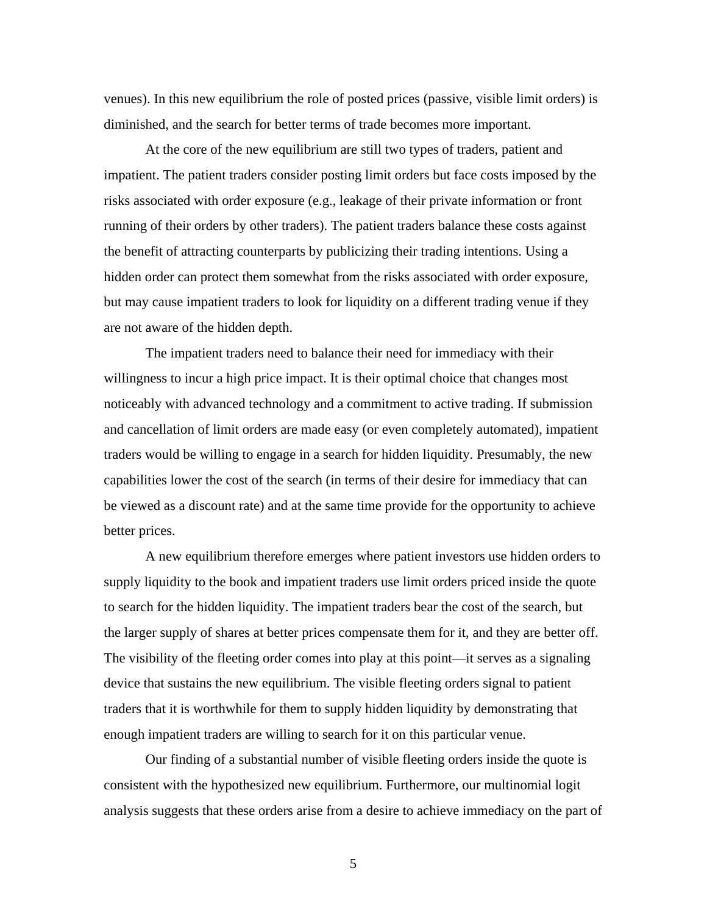venues). In this new equilibrium the role of posted prices (passive, visible limit orders) is diminished, and the search for better terms of trade becomes more important.

At the core of the new equilibrium are still two types of traders, patient and impatient. The patient traders consider posting limit orders but face costs imposed by the risks associated with order exposure (e.g., leakage of their private information or front running of their orders by other traders). The patient traders balance these costs against the benefit of attracting counterparts by publicizing their trading intentions. Using a hidden order can protect them somewhat from the risks associated with order exposure, but may cause impatient traders to look for liquidity on a different trading venue if they are not aware of the hidden depth.

The impatient traders need to balance their need for immediacy with their willingness to incur a high price impact. It is their optimal choice that changes most noticeably with advanced technology and a commitment to active trading. If submission and cancellation of limit orders are made easy (or even completely automated), impatient traders would be willing to engage in a search for hidden liquidity. Presumably, the new capabilities lower the cost of the search (in terms of their desire for immediacy that can be viewed as a discount rate) and at the same time provide for the opportunity to achieve better prices.

A new equilibrium therefore emerges where patient investors use hidden orders to supply liquidity to the book and impatient traders use limit orders priced inside the quote to search for the hidden liquidity. The impatient traders bear the cost of the search, but the larger supply of shares at better prices compensate them for it, and they are better off. The visibility of the fleeting order comes into play at this point—it serves as a signaling device that sustains the new equilibrium. The visible fleeting orders signal to patient traders that it is worthwhile for them to supply hidden liquidity by demonstrating that enough impatient traders are willing to search for it on this particular venue.

Our finding of a substantial number of visible fleeting orders inside the quote is consistent with the hypothesized new equilibrium. Furthermore, our multinomial logit analysis suggests that these orders arise from a desire to achieve immediacy on the part of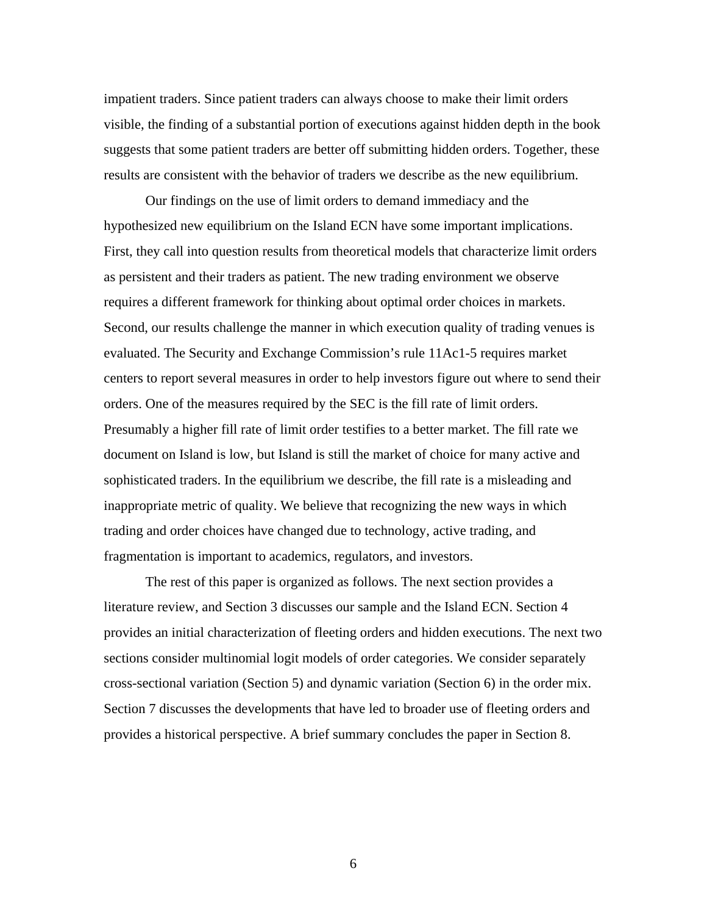impatient traders. Since patient traders can always choose to make their limit orders visible, the finding of a substantial portion of executions against hidden depth in the book suggests that some patient traders are better off submitting hidden orders. Together, these results are consistent with the behavior of traders we describe as the new equilibrium.

Our findings on the use of limit orders to demand immediacy and the hypothesized new equilibrium on the Island ECN have some important implications. First, they call into question results from theoretical models that characterize limit orders as persistent and their traders as patient. The new trading environment we observe requires a different framework for thinking about optimal order choices in markets. Second, our results challenge the manner in which execution quality of trading venues is evaluated. The Security and Exchange Commission's rule 11Ac1-5 requires market centers to report several measures in order to help investors figure out where to send their orders. One of the measures required by the SEC is the fill rate of limit orders. Presumably a higher fill rate of limit order testifies to a better market. The fill rate we document on Island is low, but Island is still the market of choice for many active and sophisticated traders. In the equilibrium we describe, the fill rate is a misleading and inappropriate metric of quality. We believe that recognizing the new ways in which trading and order choices have changed due to technology, active trading, and fragmentation is important to academics, regulators, and investors.

The rest of this paper is organized as follows. The next section provides a literature review, and Section 3 discusses our sample and the Island ECN. Section 4 provides an initial characterization of fleeting orders and hidden executions. The next two sections consider multinomial logit models of order categories. We consider separately cross-sectional variation (Section 5) and dynamic variation (Section 6) in the order mix. Section 7 discusses the developments that have led to broader use of fleeting orders and provides a historical perspective. A brief summary concludes the paper in Section 8.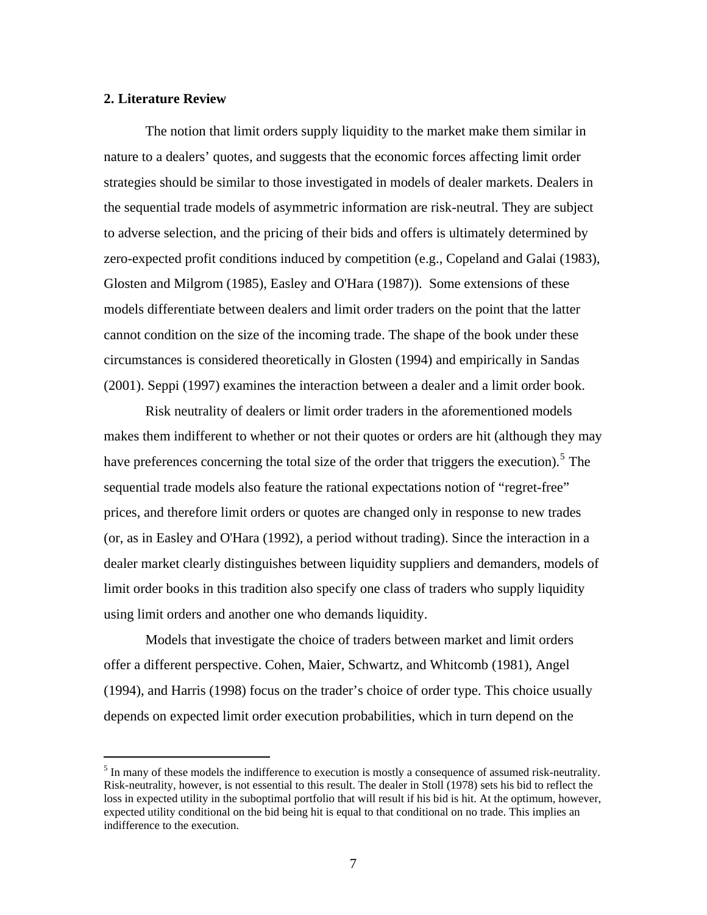#### **2. Literature Review**

 $\overline{a}$ 

The notion that limit orders supply liquidity to the market make them similar in nature to a dealers' quotes, and suggests that the economic forces affecting limit order strategies should be similar to those investigated in models of dealer markets. Dealers in the sequential trade models of asymmetric information are risk-neutral. They are subject to adverse selection, and the pricing of their bids and offers is ultimately determined by zero-expected profit conditions induced by competition (e.g., Copeland and Galai (1983), Glosten and Milgrom (1985), Easley and O'Hara (1987)). Some extensions of these models differentiate between dealers and limit order traders on the point that the latter cannot condition on the size of the incoming trade. The shape of the book under these circumstances is considered theoretically in Glosten (1994) and empirically in Sandas (2001). Seppi (1997) examines the interaction between a dealer and a limit order book.

Risk neutrality of dealers or limit order traders in the aforementioned models makes them indifferent to whether or not their quotes or orders are hit (although they may have preferences concerning the total size of the order that triggers the execution).<sup>[5](#page-7-0)</sup> The sequential trade models also feature the rational expectations notion of "regret-free" prices, and therefore limit orders or quotes are changed only in response to new trades (or, as in Easley and O'Hara (1992), a period without trading). Since the interaction in a dealer market clearly distinguishes between liquidity suppliers and demanders, models of limit order books in this tradition also specify one class of traders who supply liquidity using limit orders and another one who demands liquidity.

Models that investigate the choice of traders between market and limit orders offer a different perspective. Cohen, Maier, Schwartz, and Whitcomb (1981), Angel (1994), and Harris (1998) focus on the trader's choice of order type. This choice usually depends on expected limit order execution probabilities, which in turn depend on the

<span id="page-7-0"></span> $<sup>5</sup>$  In many of these models the indifference to execution is mostly a consequence of assumed risk-neutrality.</sup> Risk-neutrality, however, is not essential to this result. The dealer in Stoll (1978) sets his bid to reflect the loss in expected utility in the suboptimal portfolio that will result if his bid is hit. At the optimum, however, expected utility conditional on the bid being hit is equal to that conditional on no trade. This implies an indifference to the execution.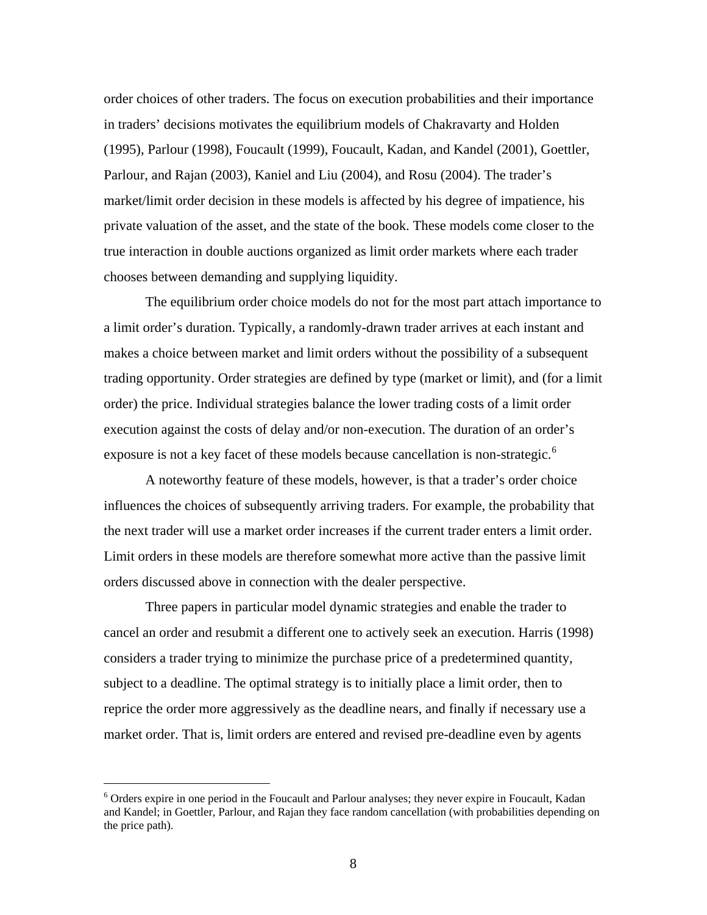order choices of other traders. The focus on execution probabilities and their importance in traders' decisions motivates the equilibrium models of Chakravarty and Holden (1995), Parlour (1998), Foucault (1999), Foucault, Kadan, and Kandel (2001), Goettler, Parlour, and Rajan (2003), Kaniel and Liu (2004), and Rosu (2004). The trader's market/limit order decision in these models is affected by his degree of impatience, his private valuation of the asset, and the state of the book. These models come closer to the true interaction in double auctions organized as limit order markets where each trader chooses between demanding and supplying liquidity.

The equilibrium order choice models do not for the most part attach importance to a limit order's duration. Typically, a randomly-drawn trader arrives at each instant and makes a choice between market and limit orders without the possibility of a subsequent trading opportunity. Order strategies are defined by type (market or limit), and (for a limit order) the price. Individual strategies balance the lower trading costs of a limit order execution against the costs of delay and/or non-execution. The duration of an order's exposure is not a key facet of these models because cancellation is non-strategic.<sup>[6](#page-8-0)</sup>

A noteworthy feature of these models, however, is that a trader's order choice influences the choices of subsequently arriving traders. For example, the probability that the next trader will use a market order increases if the current trader enters a limit order. Limit orders in these models are therefore somewhat more active than the passive limit orders discussed above in connection with the dealer perspective.

Three papers in particular model dynamic strategies and enable the trader to cancel an order and resubmit a different one to actively seek an execution. Harris (1998) considers a trader trying to minimize the purchase price of a predetermined quantity, subject to a deadline. The optimal strategy is to initially place a limit order, then to reprice the order more aggressively as the deadline nears, and finally if necessary use a market order. That is, limit orders are entered and revised pre-deadline even by agents

<span id="page-8-0"></span><sup>&</sup>lt;sup>6</sup> Orders expire in one period in the Foucault and Parlour analyses; they never expire in Foucault, Kadan and Kandel; in Goettler, Parlour, and Rajan they face random cancellation (with probabilities depending on the price path).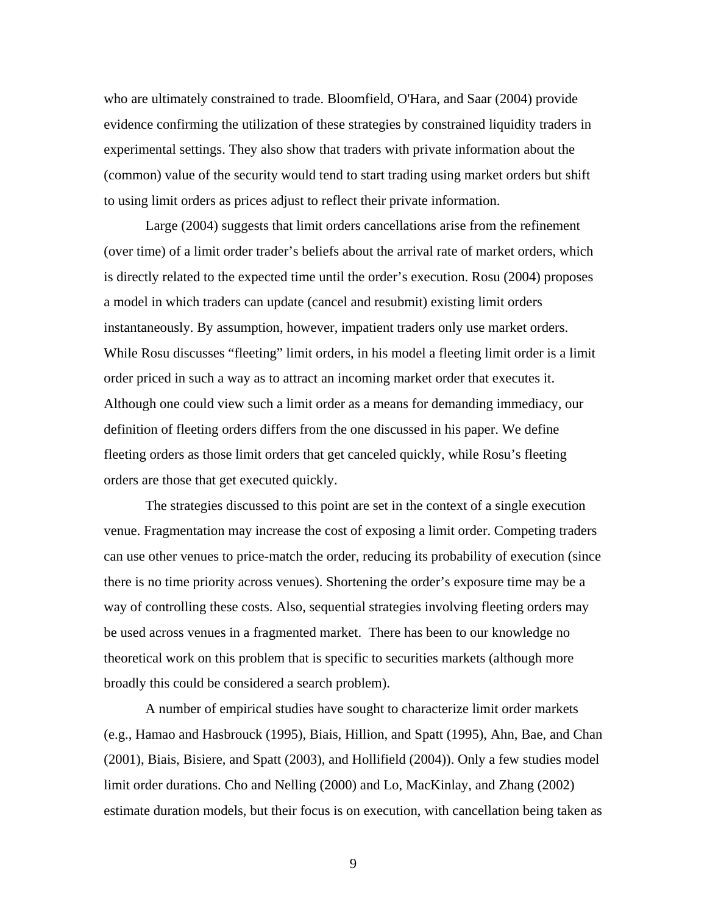who are ultimately constrained to trade. Bloomfield, O'Hara, and Saar (2004) provide evidence confirming the utilization of these strategies by constrained liquidity traders in experimental settings. They also show that traders with private information about the (common) value of the security would tend to start trading using market orders but shift to using limit orders as prices adjust to reflect their private information.

Large (2004) suggests that limit orders cancellations arise from the refinement (over time) of a limit order trader's beliefs about the arrival rate of market orders, which is directly related to the expected time until the order's execution. Rosu (2004) proposes a model in which traders can update (cancel and resubmit) existing limit orders instantaneously. By assumption, however, impatient traders only use market orders. While Rosu discusses "fleeting" limit orders, in his model a fleeting limit order is a limit order priced in such a way as to attract an incoming market order that executes it. Although one could view such a limit order as a means for demanding immediacy, our definition of fleeting orders differs from the one discussed in his paper. We define fleeting orders as those limit orders that get canceled quickly, while Rosu's fleeting orders are those that get executed quickly.

The strategies discussed to this point are set in the context of a single execution venue. Fragmentation may increase the cost of exposing a limit order. Competing traders can use other venues to price-match the order, reducing its probability of execution (since there is no time priority across venues). Shortening the order's exposure time may be a way of controlling these costs. Also, sequential strategies involving fleeting orders may be used across venues in a fragmented market. There has been to our knowledge no theoretical work on this problem that is specific to securities markets (although more broadly this could be considered a search problem).

A number of empirical studies have sought to characterize limit order markets (e.g., Hamao and Hasbrouck (1995), Biais, Hillion, and Spatt (1995), Ahn, Bae, and Chan (2001), Biais, Bisiere, and Spatt (2003), and Hollifield (2004)). Only a few studies model limit order durations. Cho and Nelling (2000) and Lo, MacKinlay, and Zhang (2002) estimate duration models, but their focus is on execution, with cancellation being taken as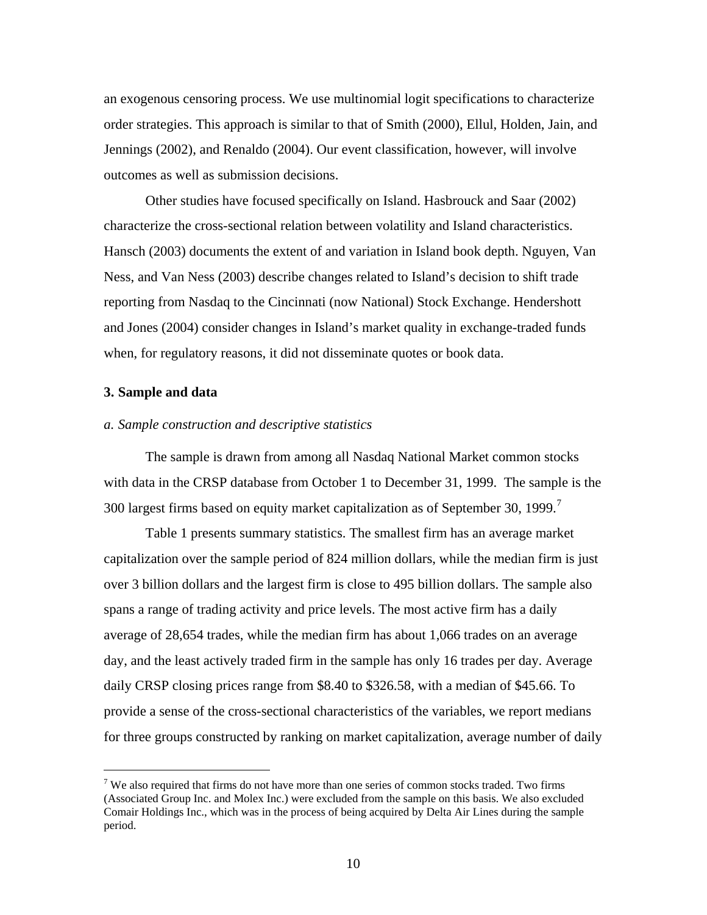an exogenous censoring process. We use multinomial logit specifications to characterize order strategies. This approach is similar to that of Smith (2000), Ellul, Holden, Jain, and Jennings (2002), and Renaldo (2004). Our event classification, however, will involve outcomes as well as submission decisions.

Other studies have focused specifically on Island. Hasbrouck and Saar (2002) characterize the cross-sectional relation between volatility and Island characteristics. Hansch (2003) documents the extent of and variation in Island book depth. Nguyen, Van Ness, and Van Ness (2003) describe changes related to Island's decision to shift trade reporting from Nasdaq to the Cincinnati (now National) Stock Exchange. Hendershott and Jones (2004) consider changes in Island's market quality in exchange-traded funds when, for regulatory reasons, it did not disseminate quotes or book data.

#### **3. Sample and data**

 $\overline{a}$ 

## *a. Sample construction and descriptive statistics*

The sample is drawn from among all Nasdaq National Market common stocks with data in the CRSP database from October 1 to December 31, 1999. The sample is the 300 largest firms based on equity market capitalization as of September 30, 1999.<sup>[7](#page-10-0)</sup>

[Table 1](#page-37-0) presents summary statistics. The smallest firm has an average market capitalization over the sample period of 824 million dollars, while the median firm is just over 3 billion dollars and the largest firm is close to 495 billion dollars. The sample also spans a range of trading activity and price levels. The most active firm has a daily average of 28,654 trades, while the median firm has about 1,066 trades on an average day, and the least actively traded firm in the sample has only 16 trades per day. Average daily CRSP closing prices range from \$8.40 to \$326.58, with a median of \$45.66. To provide a sense of the cross-sectional characteristics of the variables, we report medians for three groups constructed by ranking on market capitalization, average number of daily

<span id="page-10-0"></span><sup>&</sup>lt;sup>7</sup> We also required that firms do not have more than one series of common stocks traded. Two firms (Associated Group Inc. and Molex Inc.) were excluded from the sample on this basis. We also excluded Comair Holdings Inc., which was in the process of being acquired by Delta Air Lines during the sample period.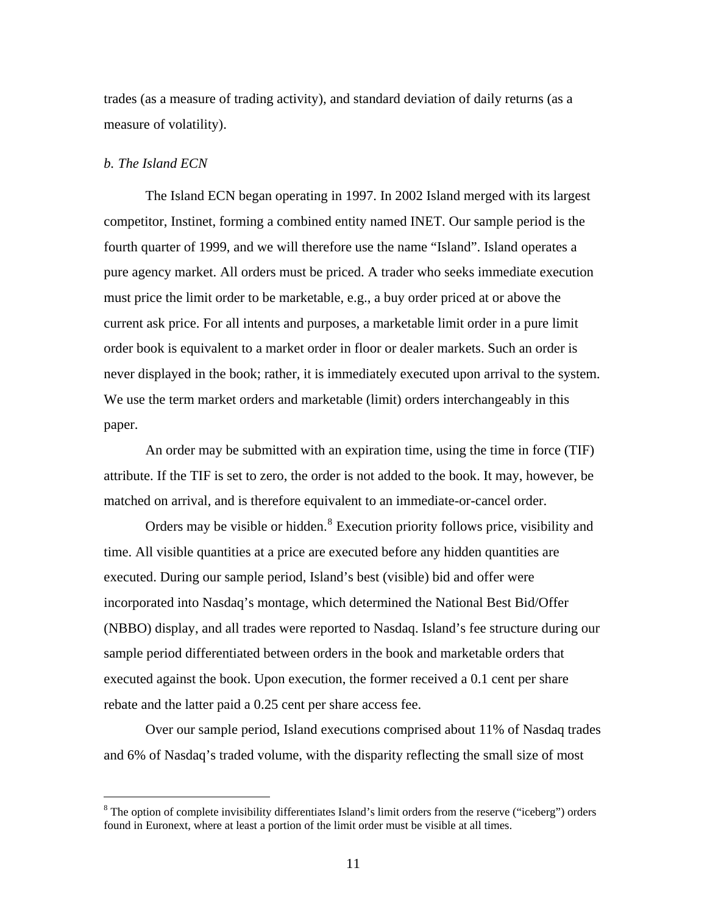trades (as a measure of trading activity), and standard deviation of daily returns (as a measure of volatility).

#### *b. The Island ECN*

 $\overline{a}$ 

The Island ECN began operating in 1997. In 2002 Island merged with its largest competitor, Instinet, forming a combined entity named INET. Our sample period is the fourth quarter of 1999, and we will therefore use the name "Island". Island operates a pure agency market. All orders must be priced. A trader who seeks immediate execution must price the limit order to be marketable, e.g., a buy order priced at or above the current ask price. For all intents and purposes, a marketable limit order in a pure limit order book is equivalent to a market order in floor or dealer markets. Such an order is never displayed in the book; rather, it is immediately executed upon arrival to the system. We use the term market orders and marketable (limit) orders interchangeably in this paper.

An order may be submitted with an expiration time, using the time in force (TIF) attribute. If the TIF is set to zero, the order is not added to the book. It may, however, be matched on arrival, and is therefore equivalent to an immediate-or-cancel order.

Orders may be visible or hidden.<sup>[8](#page-11-0)</sup> Execution priority follows price, visibility and time. All visible quantities at a price are executed before any hidden quantities are executed. During our sample period, Island's best (visible) bid and offer were incorporated into Nasdaq's montage, which determined the National Best Bid/Offer (NBBO) display, and all trades were reported to Nasdaq. Island's fee structure during our sample period differentiated between orders in the book and marketable orders that executed against the book. Upon execution, the former received a 0.1 cent per share rebate and the latter paid a 0.25 cent per share access fee.

Over our sample period, Island executions comprised about 11% of Nasdaq trades and 6% of Nasdaq's traded volume, with the disparity reflecting the small size of most

<span id="page-11-0"></span> $8$  The option of complete invisibility differentiates Island's limit orders from the reserve ("iceberg") orders found in Euronext, where at least a portion of the limit order must be visible at all times.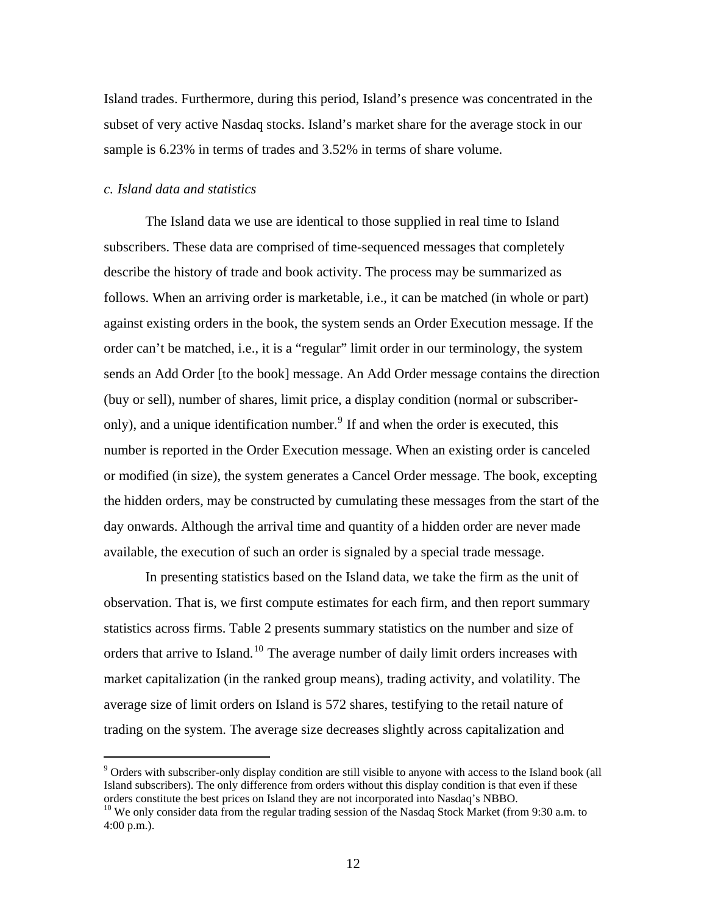Island trades. Furthermore, during this period, Island's presence was concentrated in the subset of very active Nasdaq stocks. Island's market share for the average stock in our sample is 6.23% in terms of trades and 3.52% in terms of share volume.

#### *c. Island data and statistics*

 $\overline{a}$ 

The Island data we use are identical to those supplied in real time to Island subscribers. These data are comprised of time-sequenced messages that completely describe the history of trade and book activity. The process may be summarized as follows. When an arriving order is marketable, i.e., it can be matched (in whole or part) against existing orders in the book, the system sends an Order Execution message. If the order can't be matched, i.e., it is a "regular" limit order in our terminology, the system sends an Add Order [to the book] message. An Add Order message contains the direction (buy or sell), number of shares, limit price, a display condition (normal or subscriber-only), and a unique identification number.<sup>[9](#page-12-0)</sup> If and when the order is executed, this number is reported in the Order Execution message. When an existing order is canceled or modified (in size), the system generates a Cancel Order message. The book, excepting the hidden orders, may be constructed by cumulating these messages from the start of the day onwards. Although the arrival time and quantity of a hidden order are never made available, the execution of such an order is signaled by a special trade message.

In presenting statistics based on the Island data, we take the firm as the unit of observation. That is, we first compute estimates for each firm, and then report summary statistics across firms. [Table 2](#page-38-0) presents summary statistics on the number and size of orders that arrive to Island.<sup>[10](#page-12-1)</sup> The average number of daily limit orders increases with market capitalization (in the ranked group means), trading activity, and volatility. The average size of limit orders on Island is 572 shares, testifying to the retail nature of trading on the system. The average size decreases slightly across capitalization and

<span id="page-12-0"></span><sup>&</sup>lt;sup>9</sup> Orders with subscriber-only display condition are still visible to anyone with access to the Island book (all Island subscribers). The only difference from orders without this display condition is that even if these orders constitute the best prices on Island they are not incorporated into Nasdaq's NBBO.

<span id="page-12-1"></span><sup>&</sup>lt;sup>10</sup> We only consider data from the regular trading session of the Nasdaq Stock Market (from 9:30 a.m. to 4:00 p.m.).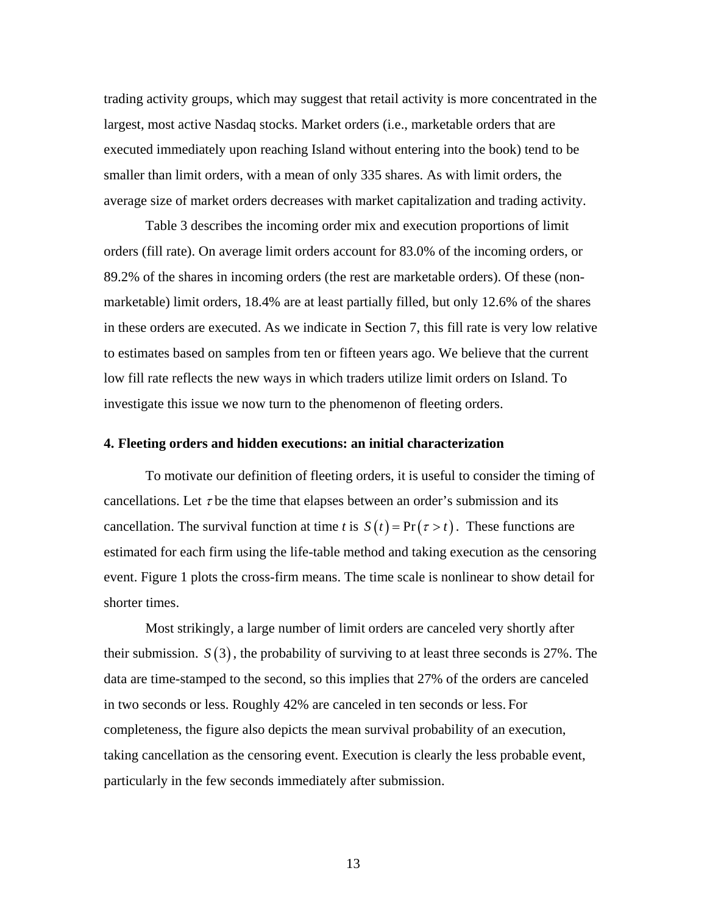trading activity groups, which may suggest that retail activity is more concentrated in the largest, most active Nasdaq stocks. Market orders (i.e., marketable orders that are executed immediately upon reaching Island without entering into the book) tend to be smaller than limit orders, with a mean of only 335 shares. As with limit orders, the average size of market orders decreases with market capitalization and trading activity.

[Table 3](#page-39-0) describes the incoming order mix and execution proportions of limit orders (fill rate). On average limit orders account for 83.0% of the incoming orders, or 89.2% of the shares in incoming orders (the rest are marketable orders). Of these (nonmarketable) limit orders, 18.4% are at least partially filled, but only 12.6% of the shares in these orders are executed. As we indicate in Section [7,](#page-24-0) this fill rate is very low relative to estimates based on samples from ten or fifteen years ago. We believe that the current low fill rate reflects the new ways in which traders utilize limit orders on Island. To investigate this issue we now turn to the phenomenon of fleeting orders.

#### **4. Fleeting orders and hidden executions: an initial characterization**

To motivate our definition of fleeting orders, it is useful to consider the timing of cancellations. Let  $\tau$  be the time that elapses between an order's submission and its cancellation. The survival function at time *t* is  $S(t) = Pr(\tau > t)$ . These functions are estimated for each firm using the life-table method and taking execution as the censoring event. [Figure 1](#page-46-0) plots the cross-firm means. The time scale is nonlinear to show detail for shorter times.

Most strikingly, a large number of limit orders are canceled very shortly after their submission.  $S(3)$ , the probability of surviving to at least three seconds is 27%. The data are time-stamped to the second, so this implies that 27% of the orders are canceled in two seconds or less. Roughly 42% are canceled in ten seconds or less. For completeness, the figure also depicts the mean survival probability of an execution, taking cancellation as the censoring event. Execution is clearly the less probable event, particularly in the few seconds immediately after submission.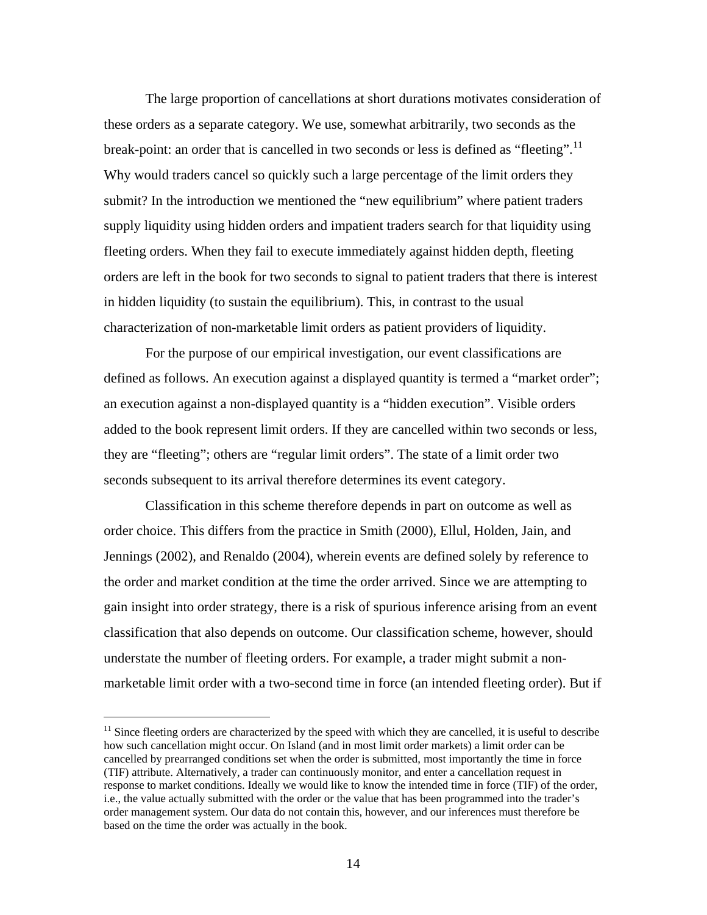The large proportion of cancellations at short durations motivates consideration of these orders as a separate category. We use, somewhat arbitrarily, two seconds as the break-point: an order that is cancelled in two seconds or less is defined as "fleeting".<sup>[11](#page-14-0)</sup> Why would traders cancel so quickly such a large percentage of the limit orders they submit? In the introduction we mentioned the "new equilibrium" where patient traders supply liquidity using hidden orders and impatient traders search for that liquidity using fleeting orders. When they fail to execute immediately against hidden depth, fleeting orders are left in the book for two seconds to signal to patient traders that there is interest in hidden liquidity (to sustain the equilibrium). This, in contrast to the usual characterization of non-marketable limit orders as patient providers of liquidity.

For the purpose of our empirical investigation, our event classifications are defined as follows. An execution against a displayed quantity is termed a "market order"; an execution against a non-displayed quantity is a "hidden execution". Visible orders added to the book represent limit orders. If they are cancelled within two seconds or less, they are "fleeting"; others are "regular limit orders". The state of a limit order two seconds subsequent to its arrival therefore determines its event category.

Classification in this scheme therefore depends in part on outcome as well as order choice. This differs from the practice in Smith (2000), Ellul, Holden, Jain, and Jennings (2002), and Renaldo (2004), wherein events are defined solely by reference to the order and market condition at the time the order arrived. Since we are attempting to gain insight into order strategy, there is a risk of spurious inference arising from an event classification that also depends on outcome. Our classification scheme, however, should understate the number of fleeting orders. For example, a trader might submit a nonmarketable limit order with a two-second time in force (an intended fleeting order). But if

<span id="page-14-0"></span> $11$  Since fleeting orders are characterized by the speed with which they are cancelled, it is useful to describe how such cancellation might occur. On Island (and in most limit order markets) a limit order can be cancelled by prearranged conditions set when the order is submitted, most importantly the time in force (TIF) attribute. Alternatively, a trader can continuously monitor, and enter a cancellation request in response to market conditions. Ideally we would like to know the intended time in force (TIF) of the order, i.e., the value actually submitted with the order or the value that has been programmed into the trader's order management system. Our data do not contain this, however, and our inferences must therefore be based on the time the order was actually in the book.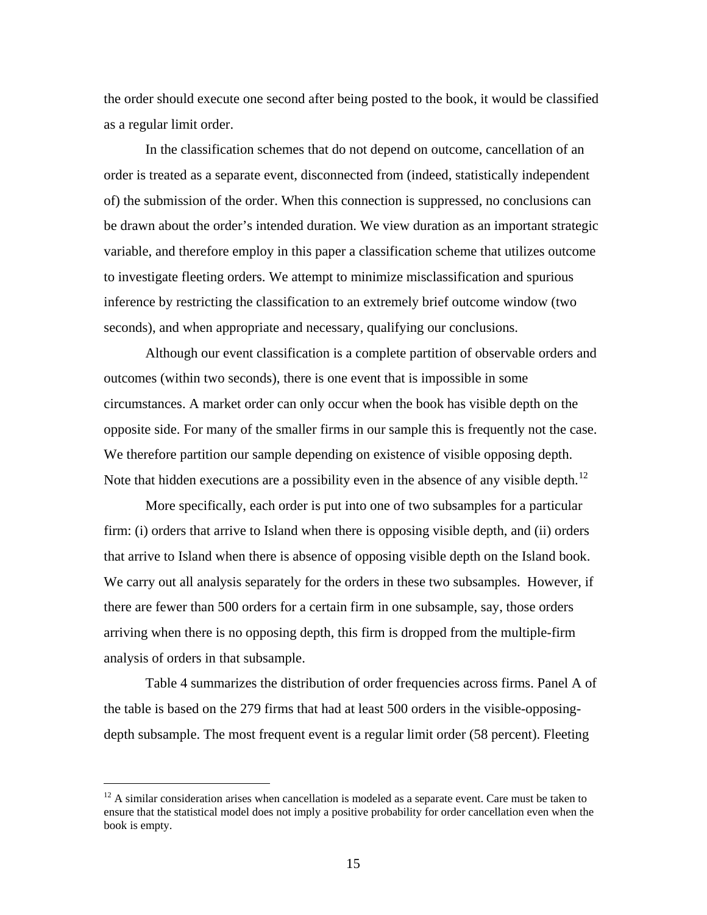the order should execute one second after being posted to the book, it would be classified as a regular limit order.

In the classification schemes that do not depend on outcome, cancellation of an order is treated as a separate event, disconnected from (indeed, statistically independent of) the submission of the order. When this connection is suppressed, no conclusions can be drawn about the order's intended duration. We view duration as an important strategic variable, and therefore employ in this paper a classification scheme that utilizes outcome to investigate fleeting orders. We attempt to minimize misclassification and spurious inference by restricting the classification to an extremely brief outcome window (two seconds), and when appropriate and necessary, qualifying our conclusions.

Although our event classification is a complete partition of observable orders and outcomes (within two seconds), there is one event that is impossible in some circumstances. A market order can only occur when the book has visible depth on the opposite side. For many of the smaller firms in our sample this is frequently not the case. We therefore partition our sample depending on existence of visible opposing depth. Note that hidden executions are a possibility even in the absence of any visible depth.<sup>[12](#page-15-0)</sup>

More specifically, each order is put into one of two subsamples for a particular firm: (i) orders that arrive to Island when there is opposing visible depth, and (ii) orders that arrive to Island when there is absence of opposing visible depth on the Island book. We carry out all analysis separately for the orders in these two subsamples. However, if there are fewer than 500 orders for a certain firm in one subsample, say, those orders arriving when there is no opposing depth, this firm is dropped from the multiple-firm analysis of orders in that subsample.

[Table 4](#page-40-0) summarizes the distribution of order frequencies across firms. Panel A of the table is based on the 279 firms that had at least 500 orders in the visible-opposingdepth subsample. The most frequent event is a regular limit order (58 percent). Fleeting

<span id="page-15-0"></span> $12$  A similar consideration arises when cancellation is modeled as a separate event. Care must be taken to ensure that the statistical model does not imply a positive probability for order cancellation even when the book is empty.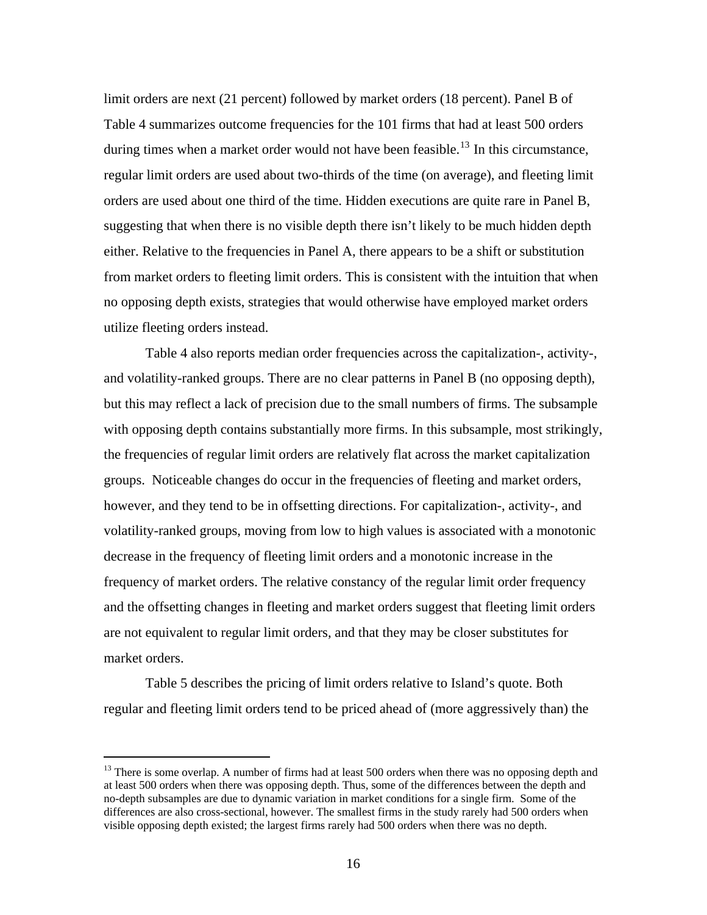limit orders are next (21 percent) followed by market orders (18 percent). Panel B of [Table 4](#page-40-0) summarizes outcome frequencies for the 101 firms that had at least 500 orders during times when a market order would not have been feasible.<sup>[13](#page-16-0)</sup> In this circumstance, regular limit orders are used about two-thirds of the time (on average), and fleeting limit orders are used about one third of the time. Hidden executions are quite rare in Panel B, suggesting that when there is no visible depth there isn't likely to be much hidden depth either. Relative to the frequencies in Panel A, there appears to be a shift or substitution from market orders to fleeting limit orders. This is consistent with the intuition that when no opposing depth exists, strategies that would otherwise have employed market orders utilize fleeting orders instead.

[Table 4](#page-40-0) also reports median order frequencies across the capitalization-, activity-, and volatility-ranked groups. There are no clear patterns in Panel B (no opposing depth), but this may reflect a lack of precision due to the small numbers of firms. The subsample with opposing depth contains substantially more firms. In this subsample, most strikingly, the frequencies of regular limit orders are relatively flat across the market capitalization groups. Noticeable changes do occur in the frequencies of fleeting and market orders, however, and they tend to be in offsetting directions. For capitalization-, activity-, and volatility-ranked groups, moving from low to high values is associated with a monotonic decrease in the frequency of fleeting limit orders and a monotonic increase in the frequency of market orders. The relative constancy of the regular limit order frequency and the offsetting changes in fleeting and market orders suggest that fleeting limit orders are not equivalent to regular limit orders, and that they may be closer substitutes for market orders.

Table 5 describes the pricing of limit orders relative to Island's quote. Both regular and fleeting limit orders tend to be priced ahead of (more aggressively than) the

<span id="page-16-0"></span><sup>&</sup>lt;sup>13</sup> There is some overlap. A number of firms had at least 500 orders when there was no opposing depth and at least 500 orders when there was opposing depth. Thus, some of the differences between the depth and no-depth subsamples are due to dynamic variation in market conditions for a single firm. Some of the differences are also cross-sectional, however. The smallest firms in the study rarely had 500 orders when visible opposing depth existed; the largest firms rarely had 500 orders when there was no depth.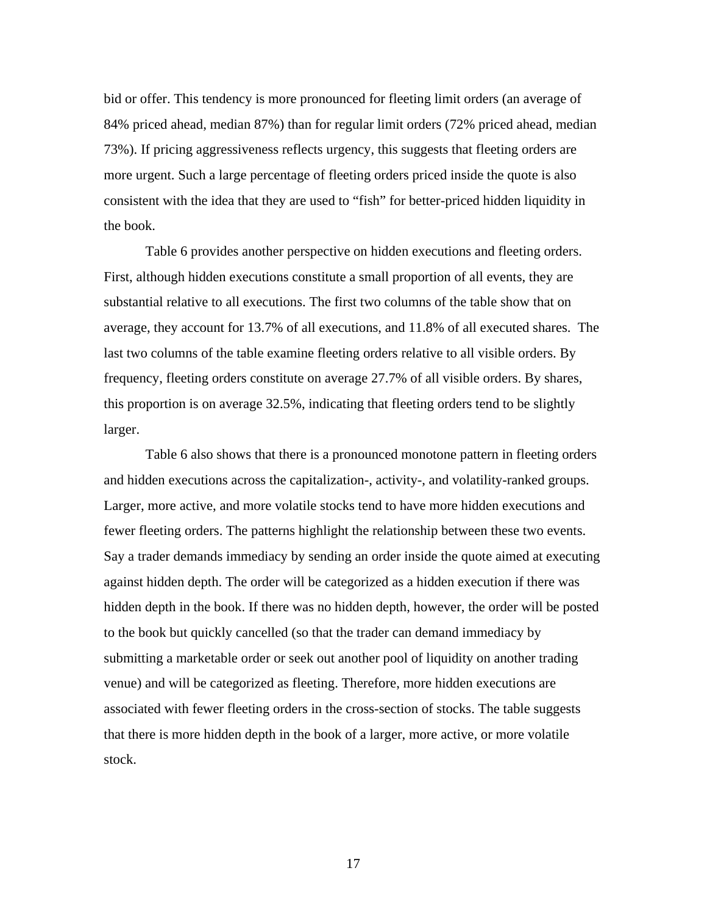bid or offer. This tendency is more pronounced for fleeting limit orders (an average of 84% priced ahead, median 87%) than for regular limit orders (72% priced ahead, median 73%). If pricing aggressiveness reflects urgency, this suggests that fleeting orders are more urgent. Such a large percentage of fleeting orders priced inside the quote is also consistent with the idea that they are used to "fish" for better-priced hidden liquidity in the book.

Table 6 provides another perspective on hidden executions and fleeting orders. First, although hidden executions constitute a small proportion of all events, they are substantial relative to all executions. The first two columns of the table show that on average, they account for 13.7% of all executions, and 11.8% of all executed shares. The last two columns of the table examine fleeting orders relative to all visible orders. By frequency, fleeting orders constitute on average 27.7% of all visible orders. By shares, this proportion is on average 32.5%, indicating that fleeting orders tend to be slightly larger.

Table 6 also shows that there is a pronounced monotone pattern in fleeting orders and hidden executions across the capitalization-, activity-, and volatility-ranked groups. Larger, more active, and more volatile stocks tend to have more hidden executions and fewer fleeting orders. The patterns highlight the relationship between these two events. Say a trader demands immediacy by sending an order inside the quote aimed at executing against hidden depth. The order will be categorized as a hidden execution if there was hidden depth in the book. If there was no hidden depth, however, the order will be posted to the book but quickly cancelled (so that the trader can demand immediacy by submitting a marketable order or seek out another pool of liquidity on another trading venue) and will be categorized as fleeting. Therefore, more hidden executions are associated with fewer fleeting orders in the cross-section of stocks. The table suggests that there is more hidden depth in the book of a larger, more active, or more volatile stock.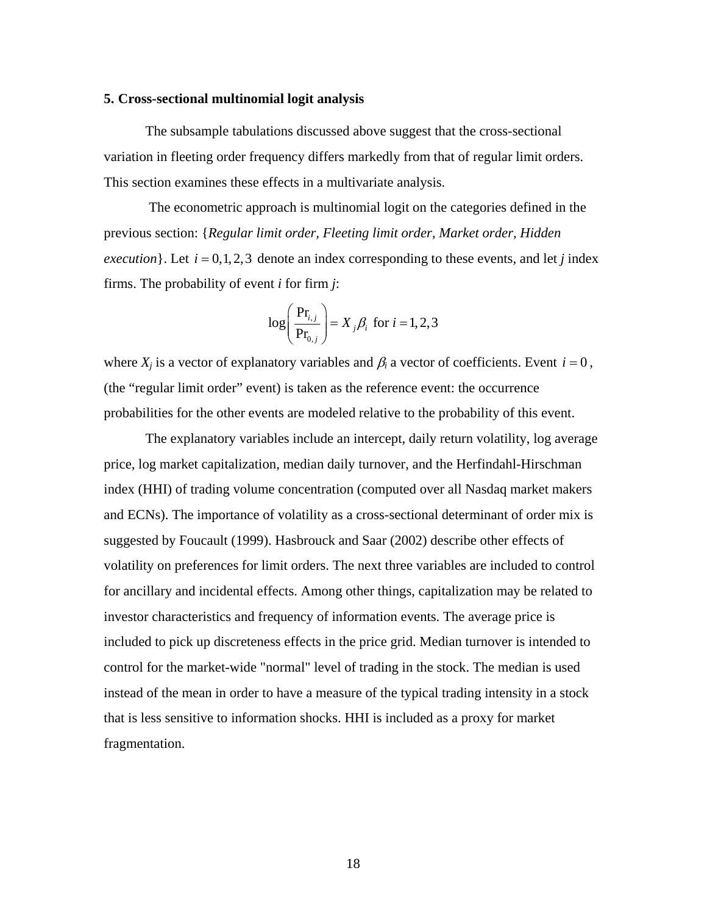#### **5. Cross-sectional multinomial logit analysis**

The subsample tabulations discussed above suggest that the cross-sectional variation in fleeting order frequency differs markedly from that of regular limit orders. This section examines these effects in a multivariate analysis.

 The econometric approach is multinomial logit on the categories defined in the previous section: {*Regular limit order, Fleeting limit order, Market order, Hidden execution*}. Let  $i = 0, 1, 2, 3$  denote an index corresponding to these events, and let *j* index firms. The probability of event *i* for firm *j*:

$$
\log\left(\frac{\text{Pr}_{i,j}}{\text{Pr}_{0,j}}\right) = X_j \beta_i \text{ for } i = 1, 2, 3
$$

where  $X_i$  is a vector of explanatory variables and  $\beta_i$  a vector of coefficients. Event  $i = 0$ , (the "regular limit order" event) is taken as the reference event: the occurrence probabilities for the other events are modeled relative to the probability of this event.

The explanatory variables include an intercept, daily return volatility, log average price, log market capitalization, median daily turnover, and the Herfindahl-Hirschman index (HHI) of trading volume concentration (computed over all Nasdaq market makers and ECNs). The importance of volatility as a cross-sectional determinant of order mix is suggested by Foucault (1999). Hasbrouck and Saar (2002) describe other effects of volatility on preferences for limit orders. The next three variables are included to control for ancillary and incidental effects. Among other things, capitalization may be related to investor characteristics and frequency of information events. The average price is included to pick up discreteness effects in the price grid. Median turnover is intended to control for the market-wide "normal" level of trading in the stock. The median is used instead of the mean in order to have a measure of the typical trading intensity in a stock that is less sensitive to information shocks. HHI is included as a proxy for market fragmentation.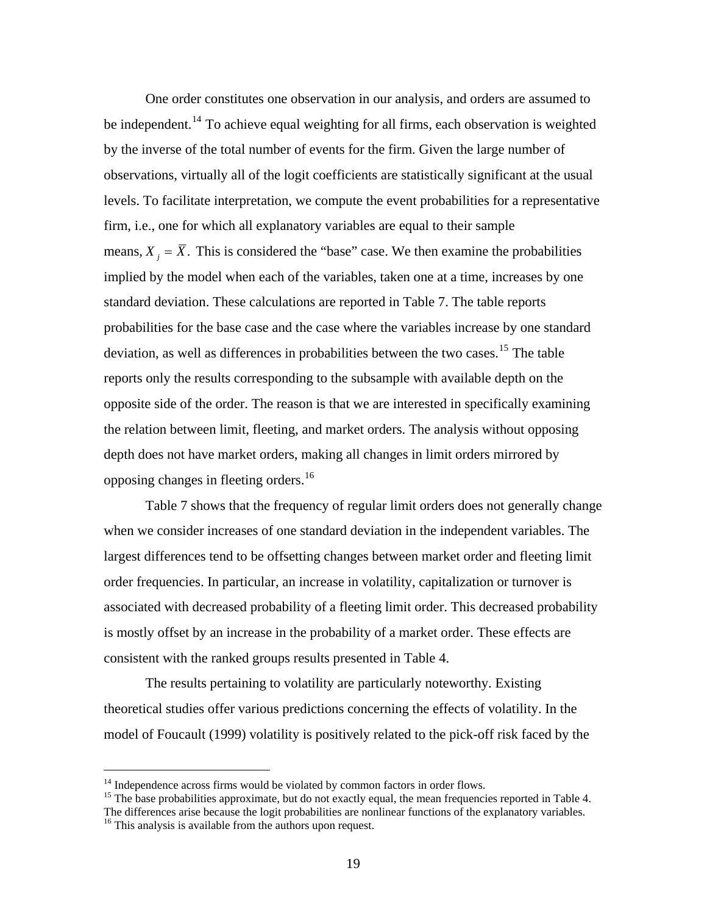One order constitutes one observation in our analysis, and orders are assumed to be independent.<sup>[14](#page-19-0)</sup> To achieve equal weighting for all firms, each observation is weighted by the inverse of the total number of events for the firm. Given the large number of observations, virtually all of the logit coefficients are statistically significant at the usual levels. To facilitate interpretation, we compute the event probabilities for a representative firm, i.e., one for which all explanatory variables are equal to their sample means,  $X_i = \overline{X}$ . This is considered the "base" case. We then examine the probabilities implied by the model when each of the variables, taken one at a time, increases by one standard deviation. These calculations are reported in Table 7. The table reports probabilities for the base case and the case where the variables increase by one standard deviation, as well as differences in probabilities between the two cases.<sup>[15](#page-19-1)</sup> The table reports only the results corresponding to the subsample with available depth on the opposite side of the order. The reason is that we are interested in specifically examining the relation between limit, fleeting, and market orders. The analysis without opposing depth does not have market orders, making all changes in limit orders mirrored by opposing changes in fleeting orders.<sup>[16](#page-19-2)</sup>

Table 7 shows that the frequency of regular limit orders does not generally change when we consider increases of one standard deviation in the independent variables. The largest differences tend to be offsetting changes between market order and fleeting limit order frequencies. In particular, an increase in volatility, capitalization or turnover is associated with decreased probability of a fleeting limit order. This decreased probability is mostly offset by an increase in the probability of a market order. These effects are consistent with the ranked groups results presented in Table 4.

The results pertaining to volatility are particularly noteworthy. Existing theoretical studies offer various predictions concerning the effects of volatility. In the model of Foucault (1999) volatility is positively related to the pick-off risk faced by the

 $14$  Independence across firms would be violated by common factors in order flows.

<span id="page-19-1"></span><span id="page-19-0"></span><sup>&</sup>lt;sup>15</sup> The base probabilities approximate, but do not exactly equal, the mean frequencies reported in Table 4. The differences arise because the logit probabilities are nonlinear functions of the explanatory variables. 16 This analysis is available from the authors upon request.

<span id="page-19-2"></span>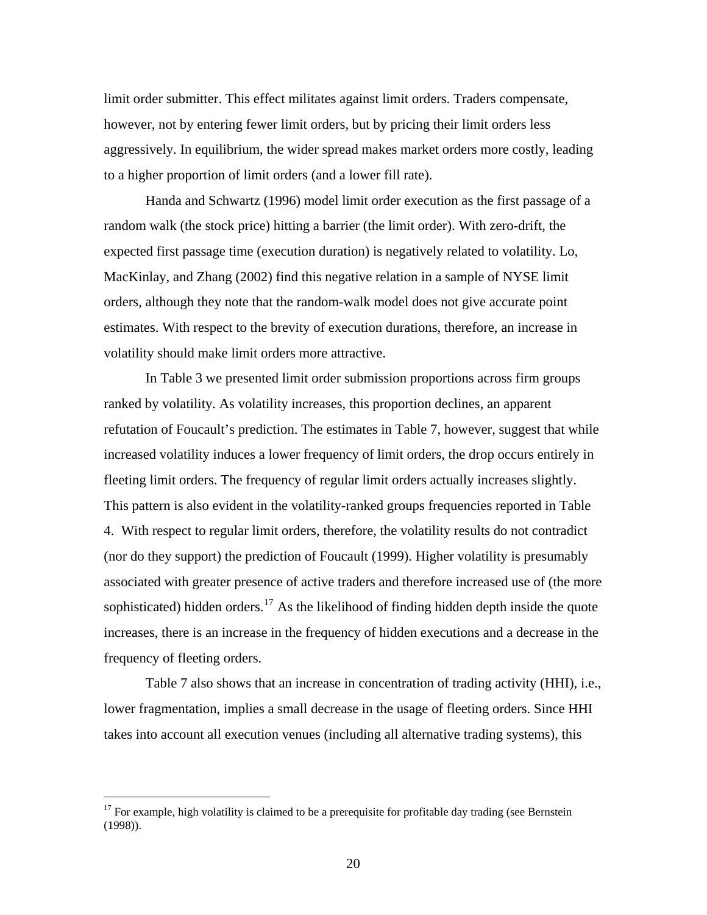limit order submitter. This effect militates against limit orders. Traders compensate, however, not by entering fewer limit orders, but by pricing their limit orders less aggressively. In equilibrium, the wider spread makes market orders more costly, leading to a higher proportion of limit orders (and a lower fill rate).

Handa and Schwartz (1996) model limit order execution as the first passage of a random walk (the stock price) hitting a barrier (the limit order). With zero-drift, the expected first passage time (execution duration) is negatively related to volatility. Lo, MacKinlay, and Zhang (2002) find this negative relation in a sample of NYSE limit orders, although they note that the random-walk model does not give accurate point estimates. With respect to the brevity of execution durations, therefore, an increase in volatility should make limit orders more attractive.

In [Table 3](#page-39-0) we presented limit order submission proportions across firm groups ranked by volatility. As volatility increases, this proportion declines, an apparent refutation of Foucault's prediction. The estimates in Table 7, however, suggest that while increased volatility induces a lower frequency of limit orders, the drop occurs entirely in fleeting limit orders. The frequency of regular limit orders actually increases slightly. This pattern is also evident in the volatility-ranked groups frequencies reported in Table 4. With respect to regular limit orders, therefore, the volatility results do not contradict (nor do they support) the prediction of Foucault (1999). Higher volatility is presumably associated with greater presence of active traders and therefore increased use of (the more sophisticated) hidden orders.<sup>[17](#page-20-0)</sup> As the likelihood of finding hidden depth inside the quote increases, there is an increase in the frequency of hidden executions and a decrease in the frequency of fleeting orders.

Table 7 also shows that an increase in concentration of trading activity (HHI), i.e., lower fragmentation, implies a small decrease in the usage of fleeting orders. Since HHI takes into account all execution venues (including all alternative trading systems), this

<span id="page-20-0"></span> $17$  For example, high volatility is claimed to be a prerequisite for profitable day trading (see Bernstein (1998)).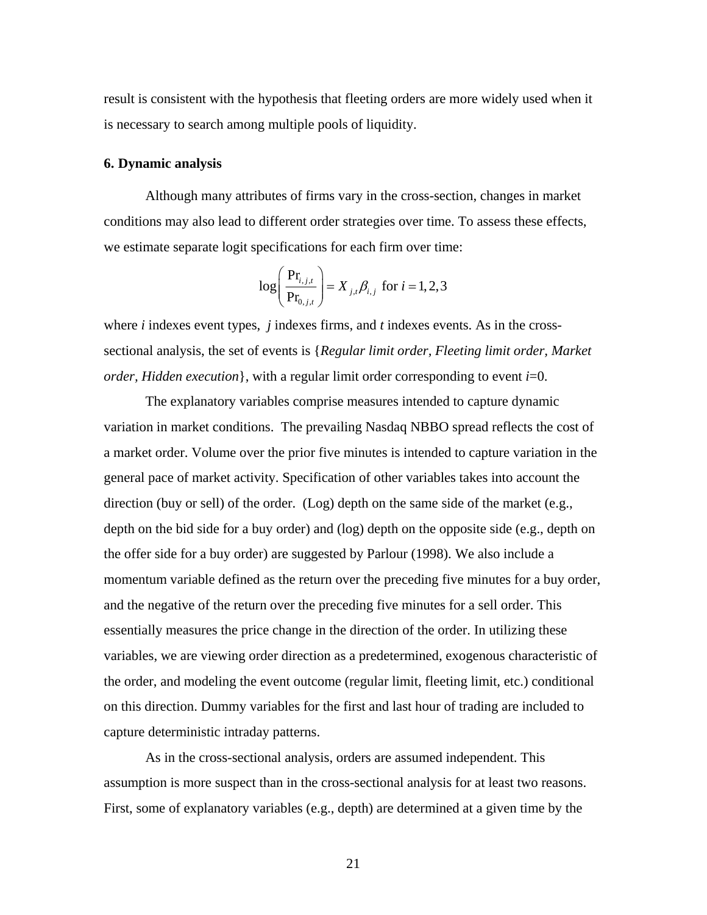result is consistent with the hypothesis that fleeting orders are more widely used when it is necessary to search among multiple pools of liquidity.

#### **6. Dynamic analysis**

Although many attributes of firms vary in the cross-section, changes in market conditions may also lead to different order strategies over time. To assess these effects, we estimate separate logit specifications for each firm over time:

$$
\log \left( \frac{\Pr_{i,j,t}}{\Pr_{0,j,t}} \right) = X_{j,t} \beta_{i,j} \text{ for } i = 1,2,3
$$

where *i* indexes event types, *j* indexes firms, and *t* indexes events. As in the crosssectional analysis, the set of events is {*Regular limit order, Fleeting limit order, Market order, Hidden execution*}, with a regular limit order corresponding to event *i*=0.

The explanatory variables comprise measures intended to capture dynamic variation in market conditions. The prevailing Nasdaq NBBO spread reflects the cost of a market order. Volume over the prior five minutes is intended to capture variation in the general pace of market activity. Specification of other variables takes into account the direction (buy or sell) of the order. (Log) depth on the same side of the market (e.g., depth on the bid side for a buy order) and (log) depth on the opposite side (e.g., depth on the offer side for a buy order) are suggested by Parlour (1998). We also include a momentum variable defined as the return over the preceding five minutes for a buy order, and the negative of the return over the preceding five minutes for a sell order. This essentially measures the price change in the direction of the order. In utilizing these variables, we are viewing order direction as a predetermined, exogenous characteristic of the order, and modeling the event outcome (regular limit, fleeting limit, etc.) conditional on this direction. Dummy variables for the first and last hour of trading are included to capture deterministic intraday patterns.

As in the cross-sectional analysis, orders are assumed independent. This assumption is more suspect than in the cross-sectional analysis for at least two reasons. First, some of explanatory variables (e.g., depth) are determined at a given time by the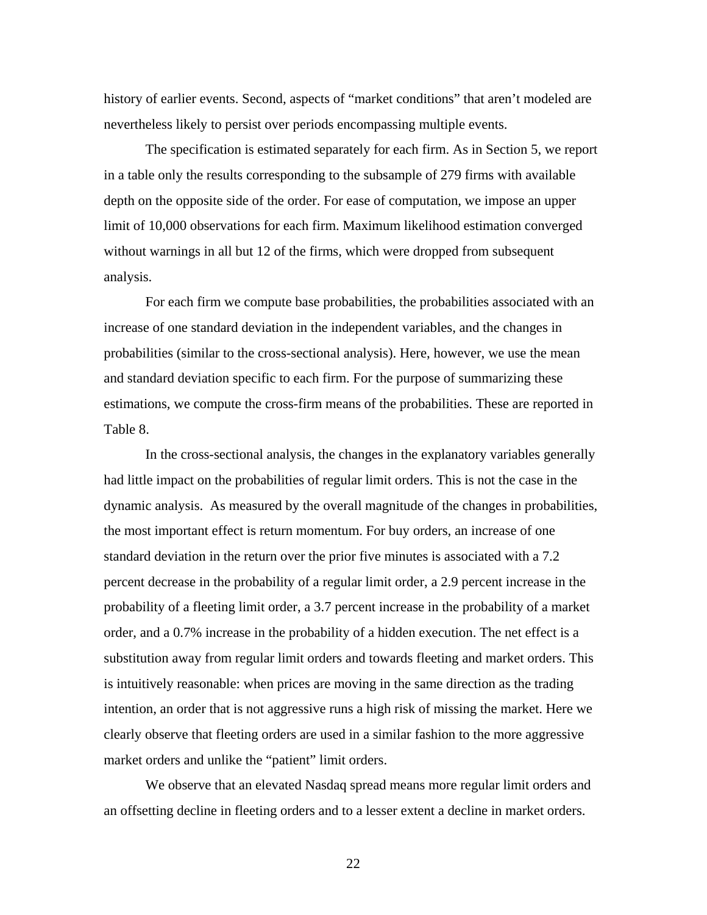history of earlier events. Second, aspects of "market conditions" that aren't modeled are nevertheless likely to persist over periods encompassing multiple events.

The specification is estimated separately for each firm. As in Section 5, we report in a table only the results corresponding to the subsample of 279 firms with available depth on the opposite side of the order. For ease of computation, we impose an upper limit of 10,000 observations for each firm. Maximum likelihood estimation converged without warnings in all but 12 of the firms, which were dropped from subsequent analysis.

For each firm we compute base probabilities, the probabilities associated with an increase of one standard deviation in the independent variables, and the changes in probabilities (similar to the cross-sectional analysis). Here, however, we use the mean and standard deviation specific to each firm. For the purpose of summarizing these estimations, we compute the cross-firm means of the probabilities. These are reported in Table 8.

In the cross-sectional analysis, the changes in the explanatory variables generally had little impact on the probabilities of regular limit orders. This is not the case in the dynamic analysis. As measured by the overall magnitude of the changes in probabilities, the most important effect is return momentum. For buy orders, an increase of one standard deviation in the return over the prior five minutes is associated with a 7.2 percent decrease in the probability of a regular limit order, a 2.9 percent increase in the probability of a fleeting limit order, a 3.7 percent increase in the probability of a market order, and a 0.7% increase in the probability of a hidden execution. The net effect is a substitution away from regular limit orders and towards fleeting and market orders. This is intuitively reasonable: when prices are moving in the same direction as the trading intention, an order that is not aggressive runs a high risk of missing the market. Here we clearly observe that fleeting orders are used in a similar fashion to the more aggressive market orders and unlike the "patient" limit orders.

We observe that an elevated Nasdaq spread means more regular limit orders and an offsetting decline in fleeting orders and to a lesser extent a decline in market orders.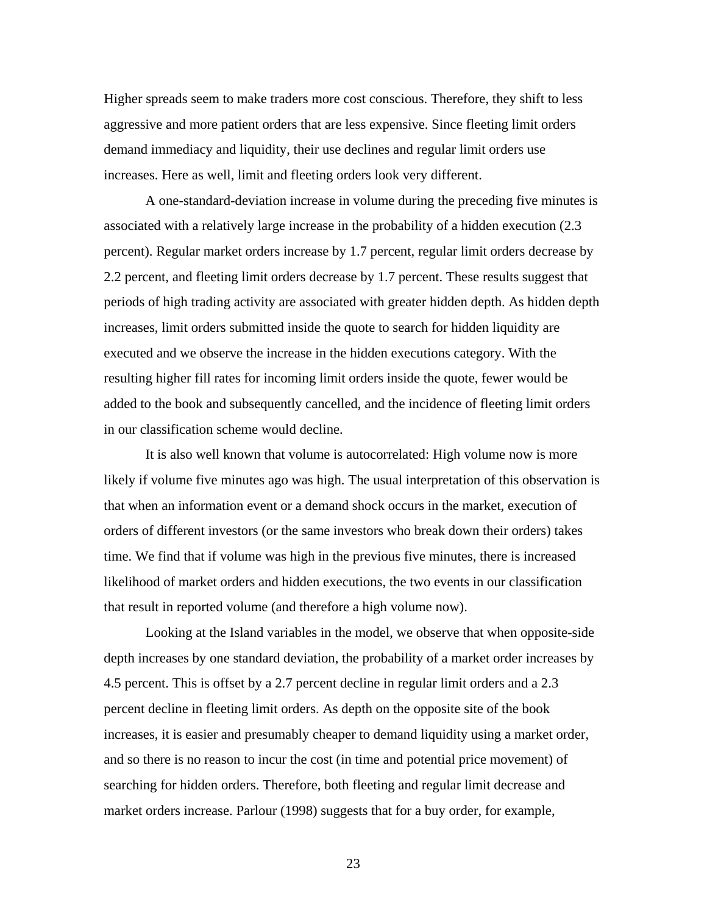Higher spreads seem to make traders more cost conscious. Therefore, they shift to less aggressive and more patient orders that are less expensive. Since fleeting limit orders demand immediacy and liquidity, their use declines and regular limit orders use increases. Here as well, limit and fleeting orders look very different.

A one-standard-deviation increase in volume during the preceding five minutes is associated with a relatively large increase in the probability of a hidden execution (2.3 percent). Regular market orders increase by 1.7 percent, regular limit orders decrease by 2.2 percent, and fleeting limit orders decrease by 1.7 percent. These results suggest that periods of high trading activity are associated with greater hidden depth. As hidden depth increases, limit orders submitted inside the quote to search for hidden liquidity are executed and we observe the increase in the hidden executions category. With the resulting higher fill rates for incoming limit orders inside the quote, fewer would be added to the book and subsequently cancelled, and the incidence of fleeting limit orders in our classification scheme would decline.

It is also well known that volume is autocorrelated: High volume now is more likely if volume five minutes ago was high. The usual interpretation of this observation is that when an information event or a demand shock occurs in the market, execution of orders of different investors (or the same investors who break down their orders) takes time. We find that if volume was high in the previous five minutes, there is increased likelihood of market orders and hidden executions, the two events in our classification that result in reported volume (and therefore a high volume now).

Looking at the Island variables in the model, we observe that when opposite-side depth increases by one standard deviation, the probability of a market order increases by 4.5 percent. This is offset by a 2.7 percent decline in regular limit orders and a 2.3 percent decline in fleeting limit orders. As depth on the opposite site of the book increases, it is easier and presumably cheaper to demand liquidity using a market order, and so there is no reason to incur the cost (in time and potential price movement) of searching for hidden orders. Therefore, both fleeting and regular limit decrease and market orders increase. Parlour (1998) suggests that for a buy order, for example,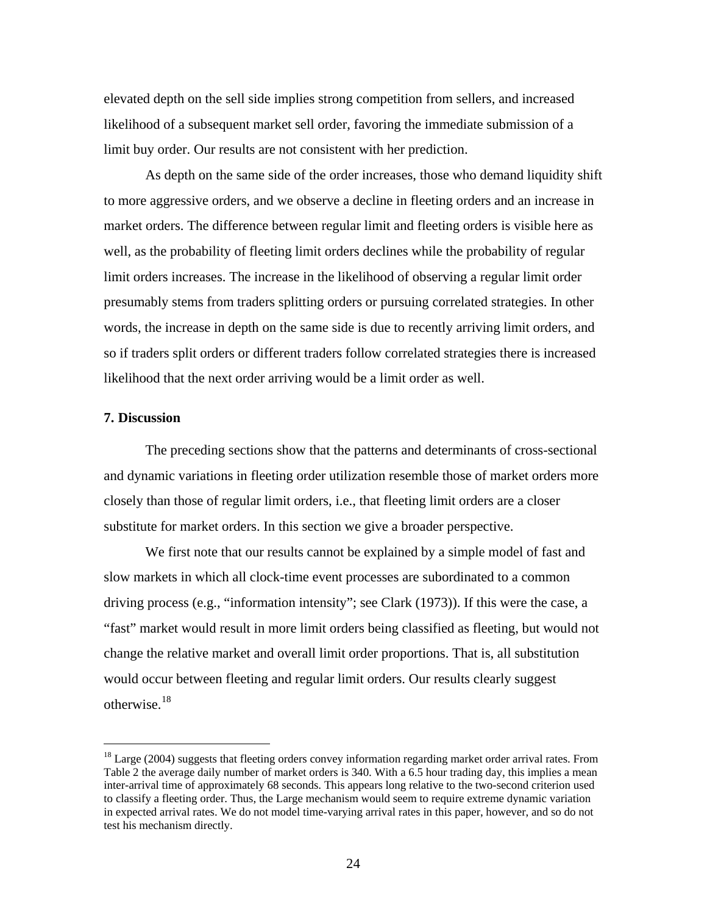elevated depth on the sell side implies strong competition from sellers, and increased likelihood of a subsequent market sell order, favoring the immediate submission of a limit buy order. Our results are not consistent with her prediction.

As depth on the same side of the order increases, those who demand liquidity shift to more aggressive orders, and we observe a decline in fleeting orders and an increase in market orders. The difference between regular limit and fleeting orders is visible here as well, as the probability of fleeting limit orders declines while the probability of regular limit orders increases. The increase in the likelihood of observing a regular limit order presumably stems from traders splitting orders or pursuing correlated strategies. In other words, the increase in depth on the same side is due to recently arriving limit orders, and so if traders split orders or different traders follow correlated strategies there is increased likelihood that the next order arriving would be a limit order as well.

#### <span id="page-24-0"></span>**7. Discussion**

 $\overline{a}$ 

The preceding sections show that the patterns and determinants of cross-sectional and dynamic variations in fleeting order utilization resemble those of market orders more closely than those of regular limit orders, i.e., that fleeting limit orders are a closer substitute for market orders. In this section we give a broader perspective.

We first note that our results cannot be explained by a simple model of fast and slow markets in which all clock-time event processes are subordinated to a common driving process (e.g., "information intensity"; see Clark (1973)). If this were the case, a "fast" market would result in more limit orders being classified as fleeting, but would not change the relative market and overall limit order proportions. That is, all substitution would occur between fleeting and regular limit orders. Our results clearly suggest otherwise. $18$ 

<span id="page-24-1"></span><sup>&</sup>lt;sup>18</sup> Large (2004) suggests that fleeting orders convey information regarding market order arrival rates. From Table 2 the average daily number of market orders is 340. With a 6.5 hour trading day, this implies a mean inter-arrival time of approximately 68 seconds. This appears long relative to the two-second criterion used to classify a fleeting order. Thus, the Large mechanism would seem to require extreme dynamic variation in expected arrival rates. We do not model time-varying arrival rates in this paper, however, and so do not test his mechanism directly.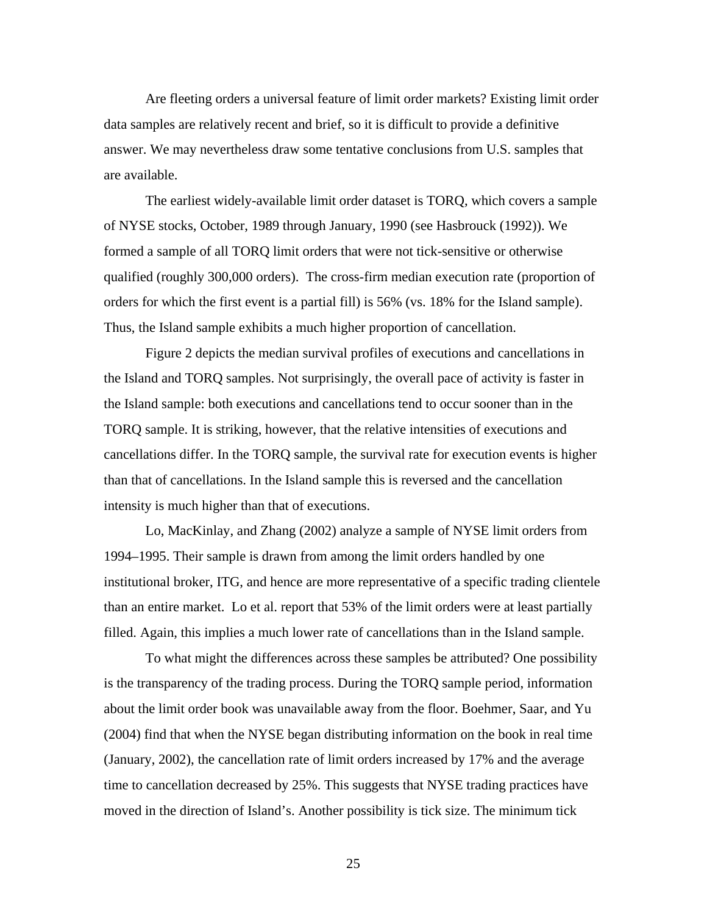Are fleeting orders a universal feature of limit order markets? Existing limit order data samples are relatively recent and brief, so it is difficult to provide a definitive answer. We may nevertheless draw some tentative conclusions from U.S. samples that are available.

 The earliest widely-available limit order dataset is TORQ, which covers a sample of NYSE stocks, October, 1989 through January, 1990 (see Hasbrouck (1992)). We formed a sample of all TORQ limit orders that were not tick-sensitive or otherwise qualified (roughly 300,000 orders). The cross-firm median execution rate (proportion of orders for which the first event is a partial fill) is 56% (vs. 18% for the Island sample). Thus, the Island sample exhibits a much higher proportion of cancellation.

[Figure 2](#page-47-0) depicts the median survival profiles of executions and cancellations in the Island and TORQ samples. Not surprisingly, the overall pace of activity is faster in the Island sample: both executions and cancellations tend to occur sooner than in the TORQ sample. It is striking, however, that the relative intensities of executions and cancellations differ. In the TORQ sample, the survival rate for execution events is higher than that of cancellations. In the Island sample this is reversed and the cancellation intensity is much higher than that of executions.

 Lo, MacKinlay, and Zhang (2002) analyze a sample of NYSE limit orders from 1994–1995. Their sample is drawn from among the limit orders handled by one institutional broker, ITG, and hence are more representative of a specific trading clientele than an entire market. Lo et al. report that 53% of the limit orders were at least partially filled. Again, this implies a much lower rate of cancellations than in the Island sample.

 To what might the differences across these samples be attributed? One possibility is the transparency of the trading process. During the TORQ sample period, information about the limit order book was unavailable away from the floor. Boehmer, Saar, and Yu (2004) find that when the NYSE began distributing information on the book in real time (January, 2002), the cancellation rate of limit orders increased by 17% and the average time to cancellation decreased by 25%. This suggests that NYSE trading practices have moved in the direction of Island's. Another possibility is tick size. The minimum tick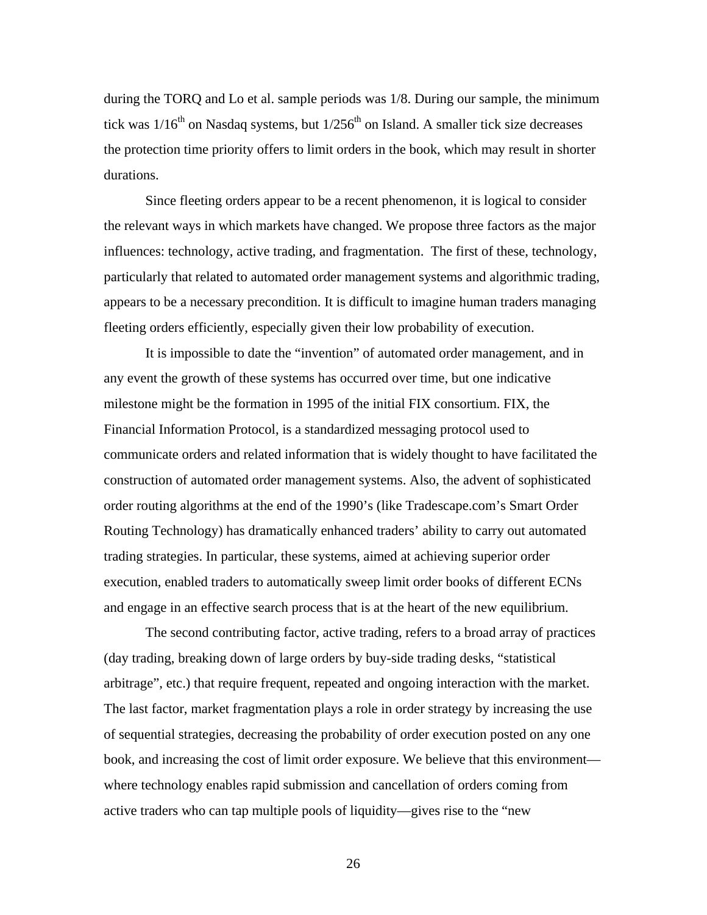during the TORQ and Lo et al. sample periods was 1/8. During our sample, the minimum tick was  $1/16<sup>th</sup>$  on Nasdaq systems, but  $1/256<sup>th</sup>$  on Island. A smaller tick size decreases the protection time priority offers to limit orders in the book, which may result in shorter durations.

 Since fleeting orders appear to be a recent phenomenon, it is logical to consider the relevant ways in which markets have changed. We propose three factors as the major influences: technology, active trading, and fragmentation. The first of these, technology, particularly that related to automated order management systems and algorithmic trading, appears to be a necessary precondition. It is difficult to imagine human traders managing fleeting orders efficiently, especially given their low probability of execution.

It is impossible to date the "invention" of automated order management, and in any event the growth of these systems has occurred over time, but one indicative milestone might be the formation in 1995 of the initial FIX consortium. FIX, the Financial Information Protocol, is a standardized messaging protocol used to communicate orders and related information that is widely thought to have facilitated the construction of automated order management systems. Also, the advent of sophisticated order routing algorithms at the end of the 1990's (like Tradescape.com's Smart Order Routing Technology) has dramatically enhanced traders' ability to carry out automated trading strategies. In particular, these systems, aimed at achieving superior order execution, enabled traders to automatically sweep limit order books of different ECNs and engage in an effective search process that is at the heart of the new equilibrium.

The second contributing factor, active trading, refers to a broad array of practices (day trading, breaking down of large orders by buy-side trading desks, "statistical arbitrage", etc.) that require frequent, repeated and ongoing interaction with the market. The last factor, market fragmentation plays a role in order strategy by increasing the use of sequential strategies, decreasing the probability of order execution posted on any one book, and increasing the cost of limit order exposure. We believe that this environment where technology enables rapid submission and cancellation of orders coming from active traders who can tap multiple pools of liquidity—gives rise to the "new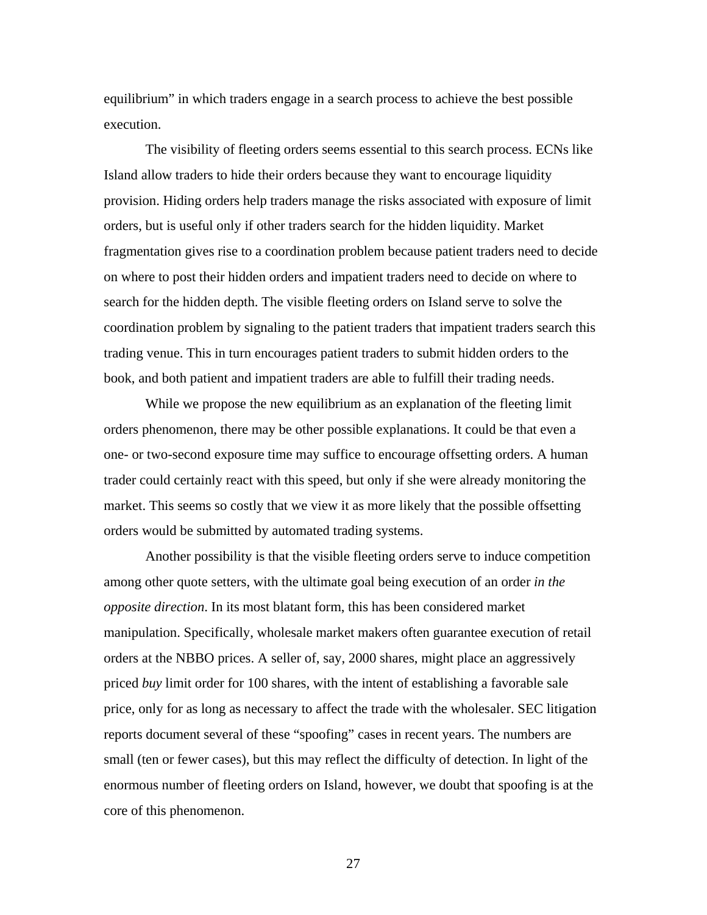equilibrium" in which traders engage in a search process to achieve the best possible execution.

The visibility of fleeting orders seems essential to this search process. ECNs like Island allow traders to hide their orders because they want to encourage liquidity provision. Hiding orders help traders manage the risks associated with exposure of limit orders, but is useful only if other traders search for the hidden liquidity. Market fragmentation gives rise to a coordination problem because patient traders need to decide on where to post their hidden orders and impatient traders need to decide on where to search for the hidden depth. The visible fleeting orders on Island serve to solve the coordination problem by signaling to the patient traders that impatient traders search this trading venue. This in turn encourages patient traders to submit hidden orders to the book, and both patient and impatient traders are able to fulfill their trading needs.

While we propose the new equilibrium as an explanation of the fleeting limit orders phenomenon, there may be other possible explanations. It could be that even a one- or two-second exposure time may suffice to encourage offsetting orders. A human trader could certainly react with this speed, but only if she were already monitoring the market. This seems so costly that we view it as more likely that the possible offsetting orders would be submitted by automated trading systems.

Another possibility is that the visible fleeting orders serve to induce competition among other quote setters, with the ultimate goal being execution of an order *in the opposite direction*. In its most blatant form, this has been considered market manipulation. Specifically, wholesale market makers often guarantee execution of retail orders at the NBBO prices. A seller of, say, 2000 shares, might place an aggressively priced *buy* limit order for 100 shares, with the intent of establishing a favorable sale price, only for as long as necessary to affect the trade with the wholesaler. SEC litigation reports document several of these "spoofing" cases in recent years. The numbers are small (ten or fewer cases), but this may reflect the difficulty of detection. In light of the enormous number of fleeting orders on Island, however, we doubt that spoofing is at the core of this phenomenon.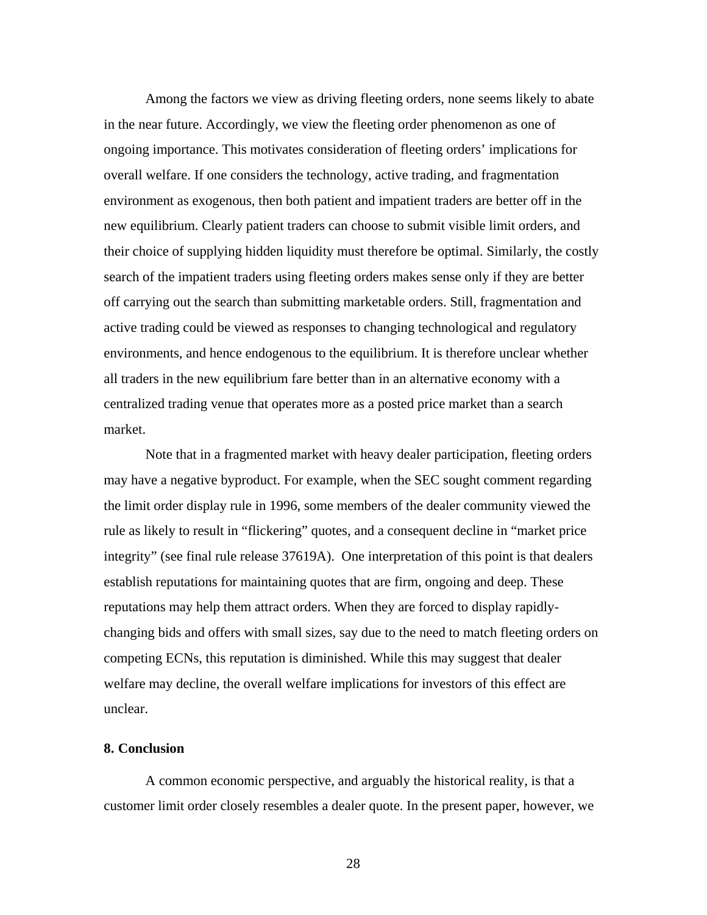Among the factors we view as driving fleeting orders, none seems likely to abate in the near future. Accordingly, we view the fleeting order phenomenon as one of ongoing importance. This motivates consideration of fleeting orders' implications for overall welfare. If one considers the technology, active trading, and fragmentation environment as exogenous, then both patient and impatient traders are better off in the new equilibrium. Clearly patient traders can choose to submit visible limit orders, and their choice of supplying hidden liquidity must therefore be optimal. Similarly, the costly search of the impatient traders using fleeting orders makes sense only if they are better off carrying out the search than submitting marketable orders. Still, fragmentation and active trading could be viewed as responses to changing technological and regulatory environments, and hence endogenous to the equilibrium. It is therefore unclear whether all traders in the new equilibrium fare better than in an alternative economy with a centralized trading venue that operates more as a posted price market than a search market.

Note that in a fragmented market with heavy dealer participation, fleeting orders may have a negative byproduct. For example, when the SEC sought comment regarding the limit order display rule in 1996, some members of the dealer community viewed the rule as likely to result in "flickering" quotes, and a consequent decline in "market price integrity" (see final rule release 37619A). One interpretation of this point is that dealers establish reputations for maintaining quotes that are firm, ongoing and deep. These reputations may help them attract orders. When they are forced to display rapidlychanging bids and offers with small sizes, say due to the need to match fleeting orders on competing ECNs, this reputation is diminished. While this may suggest that dealer welfare may decline, the overall welfare implications for investors of this effect are unclear.

#### **8. Conclusion**

A common economic perspective, and arguably the historical reality, is that a customer limit order closely resembles a dealer quote. In the present paper, however, we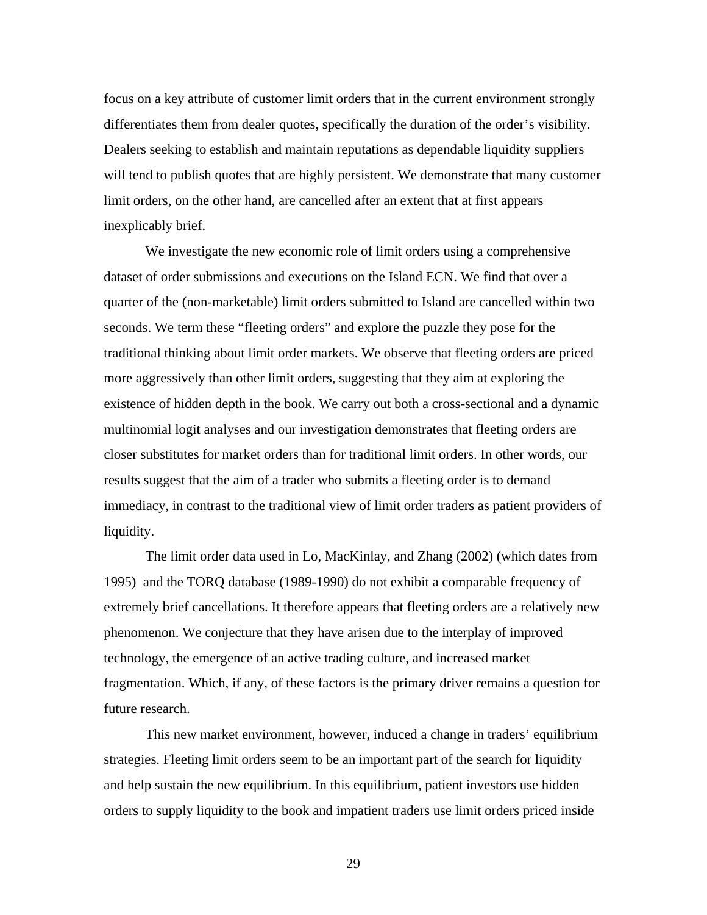focus on a key attribute of customer limit orders that in the current environment strongly differentiates them from dealer quotes, specifically the duration of the order's visibility. Dealers seeking to establish and maintain reputations as dependable liquidity suppliers will tend to publish quotes that are highly persistent. We demonstrate that many customer limit orders, on the other hand, are cancelled after an extent that at first appears inexplicably brief.

We investigate the new economic role of limit orders using a comprehensive dataset of order submissions and executions on the Island ECN. We find that over a quarter of the (non-marketable) limit orders submitted to Island are cancelled within two seconds. We term these "fleeting orders" and explore the puzzle they pose for the traditional thinking about limit order markets. We observe that fleeting orders are priced more aggressively than other limit orders, suggesting that they aim at exploring the existence of hidden depth in the book. We carry out both a cross-sectional and a dynamic multinomial logit analyses and our investigation demonstrates that fleeting orders are closer substitutes for market orders than for traditional limit orders. In other words, our results suggest that the aim of a trader who submits a fleeting order is to demand immediacy, in contrast to the traditional view of limit order traders as patient providers of liquidity.

The limit order data used in Lo, MacKinlay, and Zhang (2002) (which dates from 1995) and the TORQ database (1989-1990) do not exhibit a comparable frequency of extremely brief cancellations. It therefore appears that fleeting orders are a relatively new phenomenon. We conjecture that they have arisen due to the interplay of improved technology, the emergence of an active trading culture, and increased market fragmentation. Which, if any, of these factors is the primary driver remains a question for future research.

This new market environment, however, induced a change in traders' equilibrium strategies. Fleeting limit orders seem to be an important part of the search for liquidity and help sustain the new equilibrium. In this equilibrium, patient investors use hidden orders to supply liquidity to the book and impatient traders use limit orders priced inside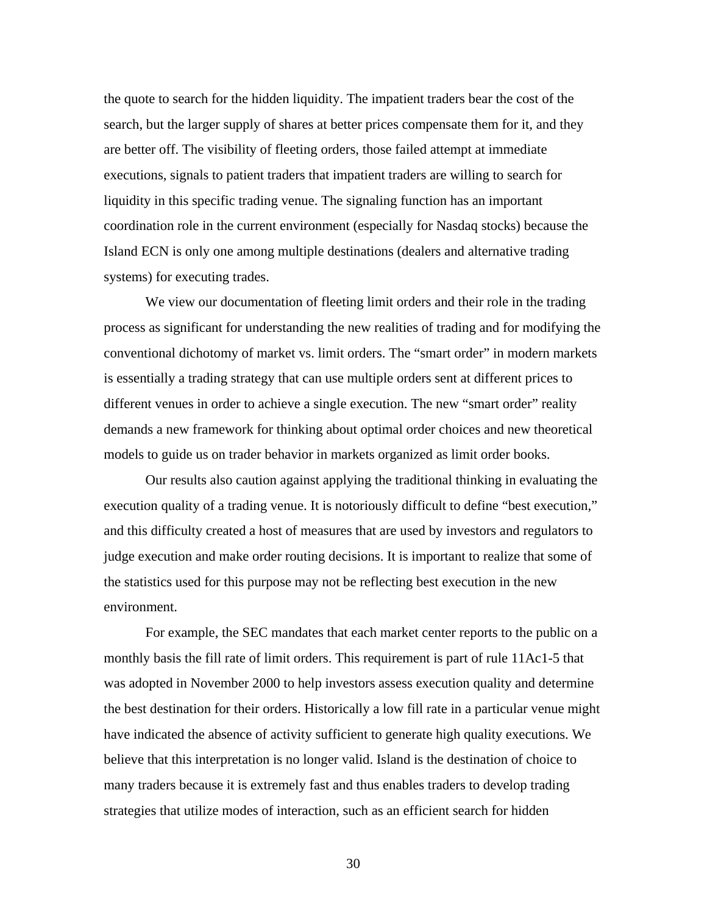the quote to search for the hidden liquidity. The impatient traders bear the cost of the search, but the larger supply of shares at better prices compensate them for it, and they are better off. The visibility of fleeting orders, those failed attempt at immediate executions, signals to patient traders that impatient traders are willing to search for liquidity in this specific trading venue. The signaling function has an important coordination role in the current environment (especially for Nasdaq stocks) because the Island ECN is only one among multiple destinations (dealers and alternative trading systems) for executing trades.

We view our documentation of fleeting limit orders and their role in the trading process as significant for understanding the new realities of trading and for modifying the conventional dichotomy of market vs. limit orders. The "smart order" in modern markets is essentially a trading strategy that can use multiple orders sent at different prices to different venues in order to achieve a single execution. The new "smart order" reality demands a new framework for thinking about optimal order choices and new theoretical models to guide us on trader behavior in markets organized as limit order books.

Our results also caution against applying the traditional thinking in evaluating the execution quality of a trading venue. It is notoriously difficult to define "best execution," and this difficulty created a host of measures that are used by investors and regulators to judge execution and make order routing decisions. It is important to realize that some of the statistics used for this purpose may not be reflecting best execution in the new environment.

For example, the SEC mandates that each market center reports to the public on a monthly basis the fill rate of limit orders. This requirement is part of rule 11Ac1-5 that was adopted in November 2000 to help investors assess execution quality and determine the best destination for their orders. Historically a low fill rate in a particular venue might have indicated the absence of activity sufficient to generate high quality executions. We believe that this interpretation is no longer valid. Island is the destination of choice to many traders because it is extremely fast and thus enables traders to develop trading strategies that utilize modes of interaction, such as an efficient search for hidden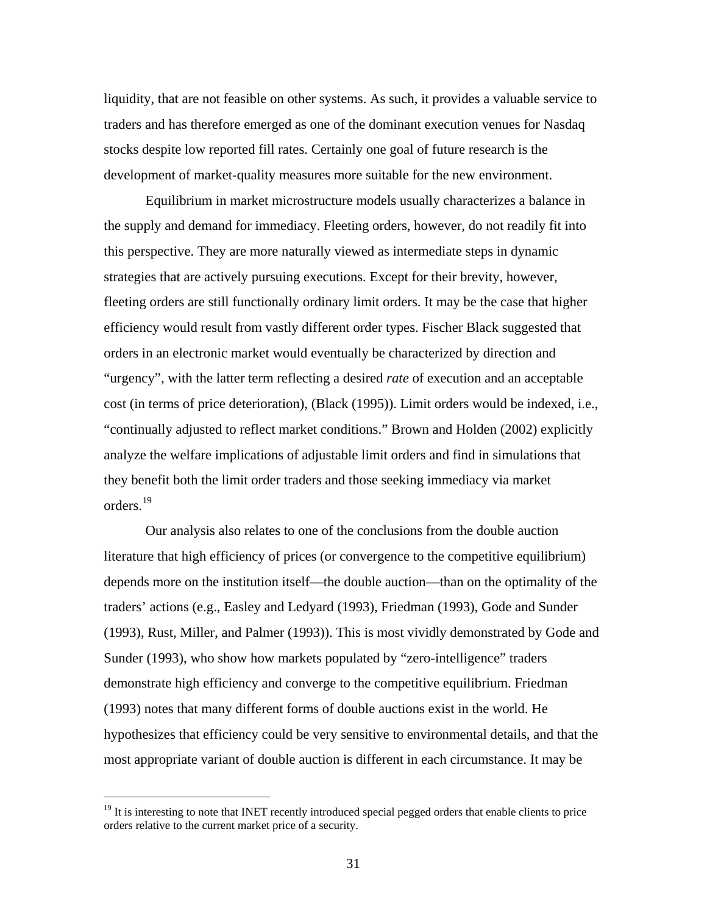liquidity, that are not feasible on other systems. As such, it provides a valuable service to traders and has therefore emerged as one of the dominant execution venues for Nasdaq stocks despite low reported fill rates. Certainly one goal of future research is the development of market-quality measures more suitable for the new environment.

Equilibrium in market microstructure models usually characterizes a balance in the supply and demand for immediacy. Fleeting orders, however, do not readily fit into this perspective. They are more naturally viewed as intermediate steps in dynamic strategies that are actively pursuing executions. Except for their brevity, however, fleeting orders are still functionally ordinary limit orders. It may be the case that higher efficiency would result from vastly different order types. Fischer Black suggested that orders in an electronic market would eventually be characterized by direction and "urgency", with the latter term reflecting a desired *rate* of execution and an acceptable cost (in terms of price deterioration), (Black (1995)). Limit orders would be indexed, i.e., "continually adjusted to reflect market conditions." Brown and Holden (2002) explicitly analyze the welfare implications of adjustable limit orders and find in simulations that they benefit both the limit order traders and those seeking immediacy via market orders.[19](#page-31-0)

Our analysis also relates to one of the conclusions from the double auction literature that high efficiency of prices (or convergence to the competitive equilibrium) depends more on the institution itself—the double auction—than on the optimality of the traders' actions (e.g., Easley and Ledyard (1993), Friedman (1993), Gode and Sunder (1993), Rust, Miller, and Palmer (1993)). This is most vividly demonstrated by Gode and Sunder (1993), who show how markets populated by "zero-intelligence" traders demonstrate high efficiency and converge to the competitive equilibrium. Friedman (1993) notes that many different forms of double auctions exist in the world. He hypothesizes that efficiency could be very sensitive to environmental details, and that the most appropriate variant of double auction is different in each circumstance. It may be

<u>.</u>

<span id="page-31-0"></span><sup>&</sup>lt;sup>19</sup> It is interesting to note that INET recently introduced special pegged orders that enable clients to price orders relative to the current market price of a security.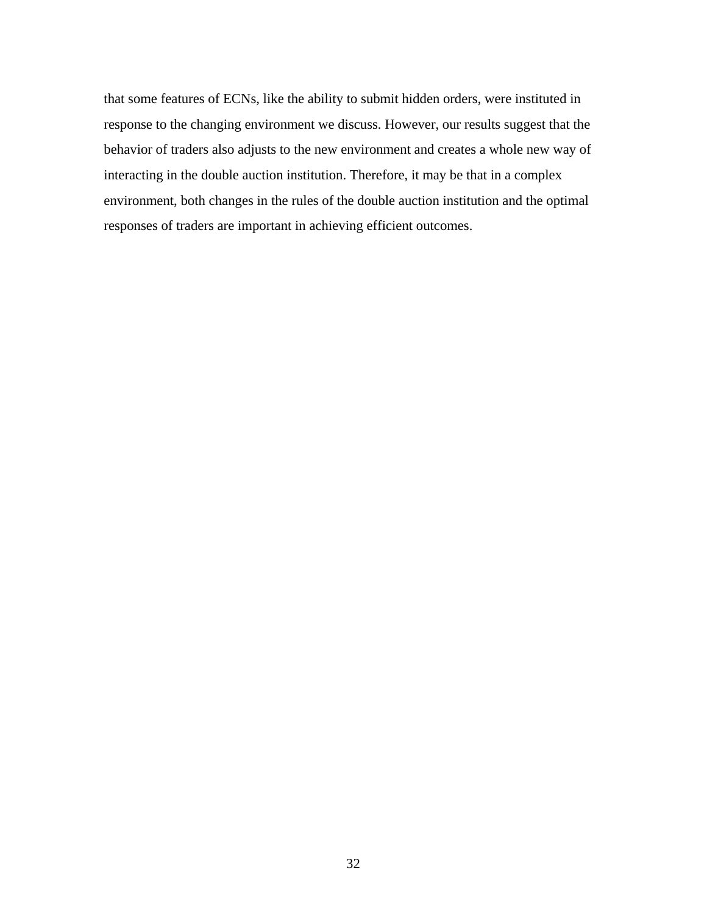that some features of ECNs, like the ability to submit hidden orders, were instituted in response to the changing environment we discuss. However, our results suggest that the behavior of traders also adjusts to the new environment and creates a whole new way of interacting in the double auction institution. Therefore, it may be that in a complex environment, both changes in the rules of the double auction institution and the optimal responses of traders are important in achieving efficient outcomes.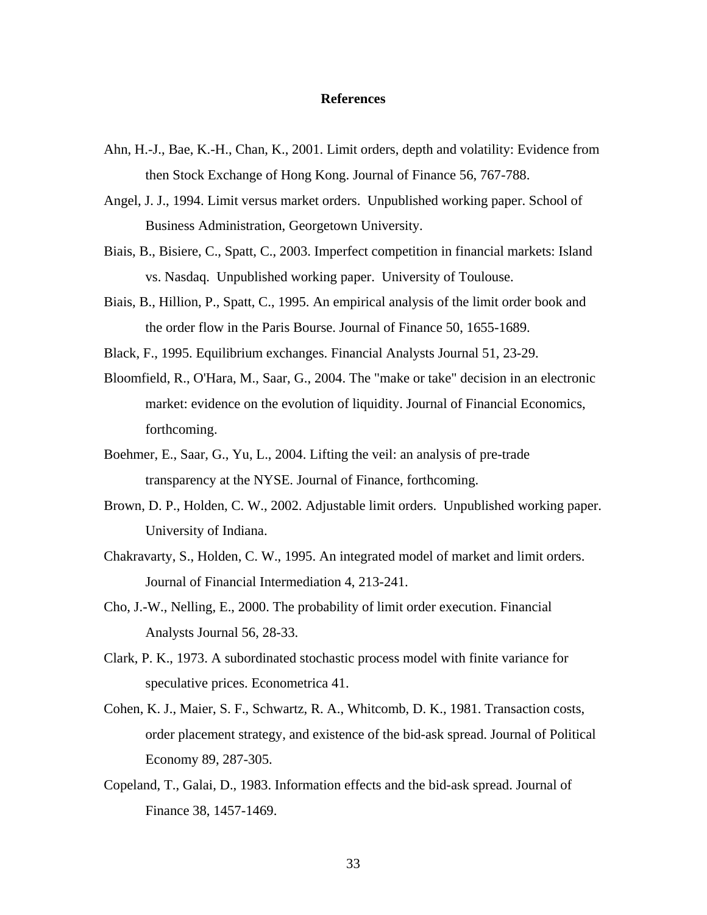#### **References**

- Ahn, H.-J., Bae, K.-H., Chan, K., 2001. Limit orders, depth and volatility: Evidence from then Stock Exchange of Hong Kong. Journal of Finance 56, 767-788.
- Angel, J. J., 1994. Limit versus market orders. Unpublished working paper. School of Business Administration, Georgetown University.
- Biais, B., Bisiere, C., Spatt, C., 2003. Imperfect competition in financial markets: Island vs. Nasdaq. Unpublished working paper. University of Toulouse.
- Biais, B., Hillion, P., Spatt, C., 1995. An empirical analysis of the limit order book and the order flow in the Paris Bourse. Journal of Finance 50, 1655-1689.
- Black, F., 1995. Equilibrium exchanges. Financial Analysts Journal 51, 23-29.
- Bloomfield, R., O'Hara, M., Saar, G., 2004. The "make or take" decision in an electronic market: evidence on the evolution of liquidity. Journal of Financial Economics, forthcoming.
- Boehmer, E., Saar, G., Yu, L., 2004. Lifting the veil: an analysis of pre-trade transparency at the NYSE. Journal of Finance, forthcoming.
- Brown, D. P., Holden, C. W., 2002. Adjustable limit orders. Unpublished working paper. University of Indiana.
- Chakravarty, S., Holden, C. W., 1995. An integrated model of market and limit orders. Journal of Financial Intermediation 4, 213-241.
- Cho, J.-W., Nelling, E., 2000. The probability of limit order execution. Financial Analysts Journal 56, 28-33.
- Clark, P. K., 1973. A subordinated stochastic process model with finite variance for speculative prices. Econometrica 41.
- Cohen, K. J., Maier, S. F., Schwartz, R. A., Whitcomb, D. K., 1981. Transaction costs, order placement strategy, and existence of the bid-ask spread. Journal of Political Economy 89, 287-305.
- Copeland, T., Galai, D., 1983. Information effects and the bid-ask spread. Journal of Finance 38, 1457-1469.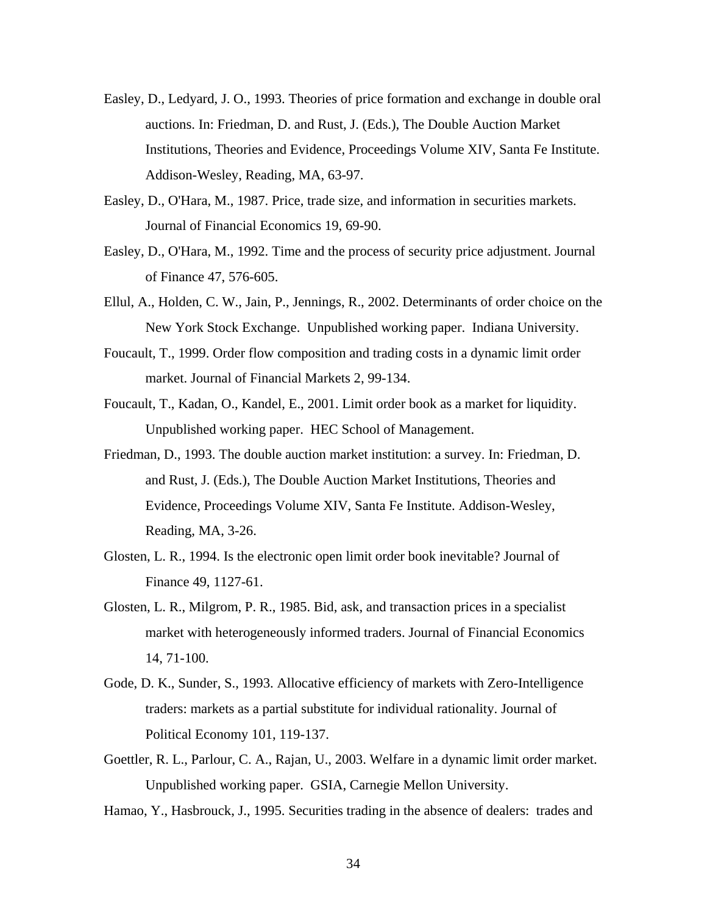- Easley, D., Ledyard, J. O., 1993. Theories of price formation and exchange in double oral auctions. In: Friedman, D. and Rust, J. (Eds.), The Double Auction Market Institutions, Theories and Evidence, Proceedings Volume XIV, Santa Fe Institute. Addison-Wesley, Reading, MA, 63-97.
- Easley, D., O'Hara, M., 1987. Price, trade size, and information in securities markets. Journal of Financial Economics 19, 69-90.
- Easley, D., O'Hara, M., 1992. Time and the process of security price adjustment. Journal of Finance 47, 576-605.
- Ellul, A., Holden, C. W., Jain, P., Jennings, R., 2002. Determinants of order choice on the New York Stock Exchange. Unpublished working paper. Indiana University.
- Foucault, T., 1999. Order flow composition and trading costs in a dynamic limit order market. Journal of Financial Markets 2, 99-134.
- Foucault, T., Kadan, O., Kandel, E., 2001. Limit order book as a market for liquidity. Unpublished working paper. HEC School of Management.
- Friedman, D., 1993. The double auction market institution: a survey. In: Friedman, D. and Rust, J. (Eds.), The Double Auction Market Institutions, Theories and Evidence, Proceedings Volume XIV, Santa Fe Institute. Addison-Wesley, Reading, MA, 3-26.
- Glosten, L. R., 1994. Is the electronic open limit order book inevitable? Journal of Finance 49, 1127-61.
- Glosten, L. R., Milgrom, P. R., 1985. Bid, ask, and transaction prices in a specialist market with heterogeneously informed traders. Journal of Financial Economics 14, 71-100.
- Gode, D. K., Sunder, S., 1993. Allocative efficiency of markets with Zero-Intelligence traders: markets as a partial substitute for individual rationality. Journal of Political Economy 101, 119-137.
- Goettler, R. L., Parlour, C. A., Rajan, U., 2003. Welfare in a dynamic limit order market. Unpublished working paper. GSIA, Carnegie Mellon University.
- Hamao, Y., Hasbrouck, J., 1995. Securities trading in the absence of dealers: trades and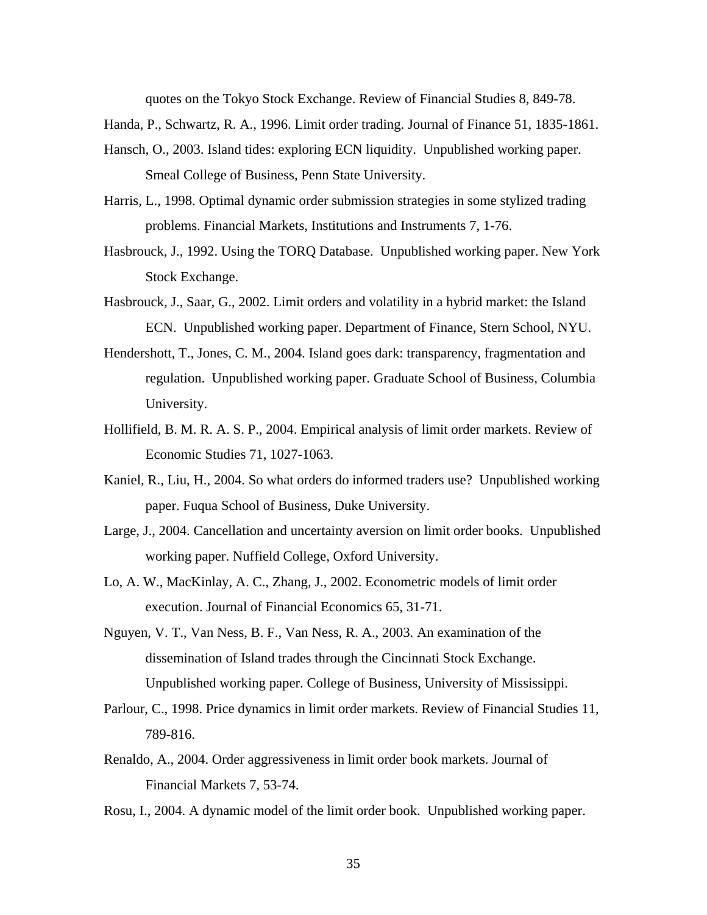quotes on the Tokyo Stock Exchange. Review of Financial Studies 8, 849-78.

Handa, P., Schwartz, R. A., 1996. Limit order trading. Journal of Finance 51, 1835-1861.

- Hansch, O., 2003. Island tides: exploring ECN liquidity. Unpublished working paper. Smeal College of Business, Penn State University.
- Harris, L., 1998. Optimal dynamic order submission strategies in some stylized trading problems. Financial Markets, Institutions and Instruments 7, 1-76.
- Hasbrouck, J., 1992. Using the TORQ Database. Unpublished working paper. New York Stock Exchange.
- Hasbrouck, J., Saar, G., 2002. Limit orders and volatility in a hybrid market: the Island ECN. Unpublished working paper. Department of Finance, Stern School, NYU.
- Hendershott, T., Jones, C. M., 2004. Island goes dark: transparency, fragmentation and regulation. Unpublished working paper. Graduate School of Business, Columbia University.
- Hollifield, B. M. R. A. S. P., 2004. Empirical analysis of limit order markets. Review of Economic Studies 71, 1027-1063.
- Kaniel, R., Liu, H., 2004. So what orders do informed traders use? Unpublished working paper. Fuqua School of Business, Duke University.
- Large, J., 2004. Cancellation and uncertainty aversion on limit order books. Unpublished working paper. Nuffield College, Oxford University.
- Lo, A. W., MacKinlay, A. C., Zhang, J., 2002. Econometric models of limit order execution. Journal of Financial Economics 65, 31-71.
- Nguyen, V. T., Van Ness, B. F., Van Ness, R. A., 2003. An examination of the dissemination of Island trades through the Cincinnati Stock Exchange. Unpublished working paper. College of Business, University of Mississippi.
- Parlour, C., 1998. Price dynamics in limit order markets. Review of Financial Studies 11, 789-816.
- Renaldo, A., 2004. Order aggressiveness in limit order book markets. Journal of Financial Markets 7, 53-74.
- Rosu, I., 2004. A dynamic model of the limit order book. Unpublished working paper.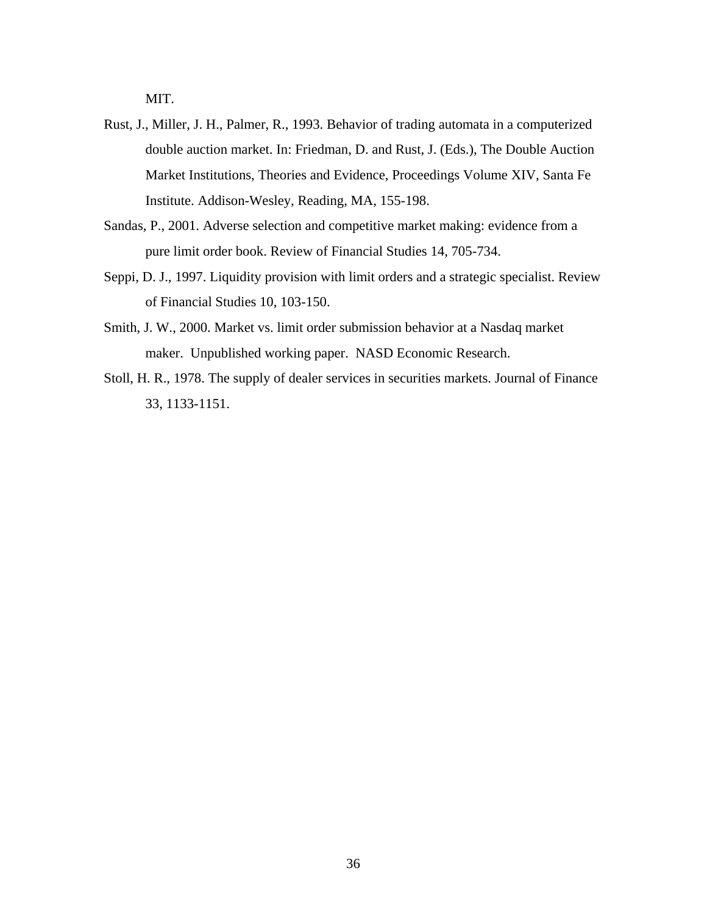MIT.

- Rust, J., Miller, J. H., Palmer, R., 1993. Behavior of trading automata in a computerized double auction market. In: Friedman, D. and Rust, J. (Eds.), The Double Auction Market Institutions, Theories and Evidence, Proceedings Volume XIV, Santa Fe Institute. Addison-Wesley, Reading, MA, 155-198.
- Sandas, P., 2001. Adverse selection and competitive market making: evidence from a pure limit order book. Review of Financial Studies 14, 705-734.
- Seppi, D. J., 1997. Liquidity provision with limit orders and a strategic specialist. Review of Financial Studies 10, 103-150.
- Smith, J. W., 2000. Market vs. limit order submission behavior at a Nasdaq market maker. Unpublished working paper. NASD Economic Research.
- Stoll, H. R., 1978. The supply of dealer services in securities markets. Journal of Finance 33, 1133-1151.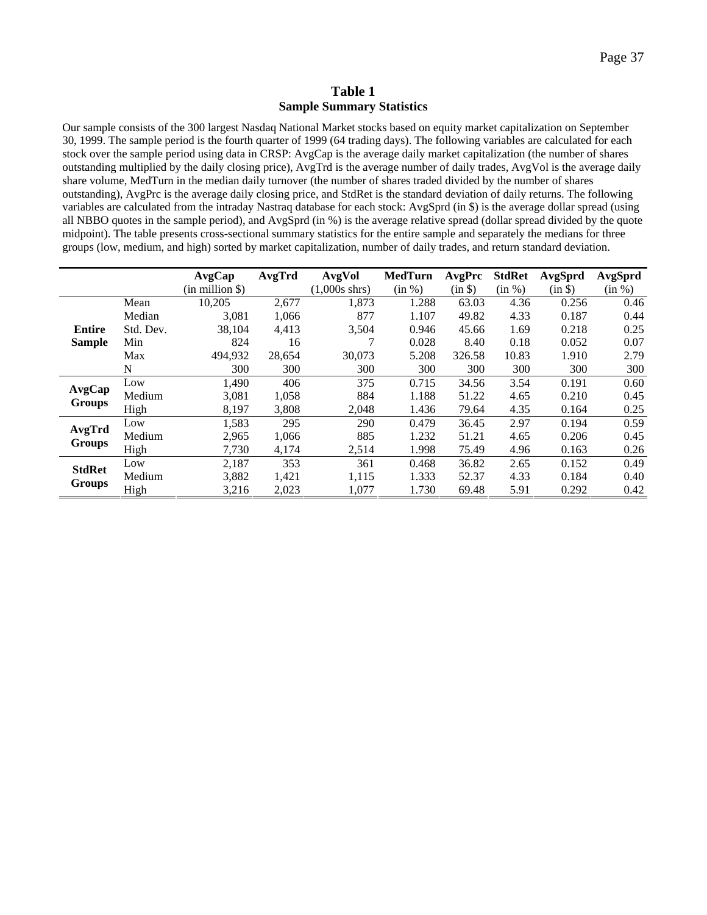#### **Table 1 Sample Summary Statistics**

<span id="page-37-0"></span>Our sample consists of the 300 largest Nasdaq National Market stocks based on equity market capitalization on September 30, 1999. The sample period is the fourth quarter of 1999 (64 trading days). The following variables are calculated for each stock over the sample period using data in CRSP: AvgCap is the average daily market capitalization (the number of shares outstanding multiplied by the daily closing price), AvgTrd is the average number of daily trades, AvgVol is the average daily share volume, MedTurn in the median daily turnover (the number of shares traded divided by the number of shares outstanding), AvgPrc is the average daily closing price, and StdRet is the standard deviation of daily returns. The following variables are calculated from the intraday Nastraq database for each stock: AvgSprd (in \$) is the average dollar spread (using all NBBO quotes in the sample period), and AvgSprd (in %) is the average relative spread (dollar spread divided by the quote midpoint). The table presents cross-sectional summary statistics for the entire sample and separately the medians for three groups (low, medium, and high) sorted by market capitalization, number of daily trades, and return standard deviation.

|               |           | AvgCap               | AvgTrd | AvgVol          | <b>MedTurn</b> | AvgPrc  | <b>StdRet</b> | AvgSprd | AvgSprd |
|---------------|-----------|----------------------|--------|-----------------|----------------|---------|---------------|---------|---------|
|               |           | $(in$ million \$ $)$ |        | $(1,000s$ shrs) | (in %)         | (in \$) | (in %)        | (in \$) | (in %)  |
|               | Mean      | 10,205               | 2,677  | 1,873           | 1.288          | 63.03   | 4.36          | 0.256   | 0.46    |
|               | Median    | 3,081                | 1,066  | 877             | 1.107          | 49.82   | 4.33          | 0.187   | 0.44    |
| Entire        | Std. Dev. | 38,104               | 4,413  | 3,504           | 0.946          | 45.66   | 1.69          | 0.218   | 0.25    |
| <b>Sample</b> | Min       | 824                  | 16     |                 | 0.028          | 8.40    | 0.18          | 0.052   | 0.07    |
|               | Max       | 494,932              | 28,654 | 30.073          | 5.208          | 326.58  | 10.83         | 1.910   | 2.79    |
|               | N         | 300                  | 300    | 300             | 300            | 300     | 300           | 300     | 300     |
|               | Low       | 1,490                | 406    | 375             | 0.715          | 34.56   | 3.54          | 0.191   | 0.60    |
| AvgCap        | Medium    | 3,081                | 1,058  | 884             | 1.188          | 51.22   | 4.65          | 0.210   | 0.45    |
| <b>Groups</b> | High      | 8,197                | 3,808  | 2,048           | 1.436          | 79.64   | 4.35          | 0.164   | 0.25    |
|               | Low       | 1,583                | 295    | 290             | 0.479          | 36.45   | 2.97          | 0.194   | 0.59    |
| AvgTrd        | Medium    | 2,965                | 1,066  | 885             | 1.232          | 51.21   | 4.65          | 0.206   | 0.45    |
| <b>Groups</b> | High      | 7.730                | 4,174  | 2,514           | 1.998          | 75.49   | 4.96          | 0.163   | 0.26    |
| <b>StdRet</b> | Low       | 2,187                | 353    | 361             | 0.468          | 36.82   | 2.65          | 0.152   | 0.49    |
|               | Medium    | 3,882                | 1,421  | 1,115           | 1.333          | 52.37   | 4.33          | 0.184   | 0.40    |
| <b>Groups</b> | High      | 3,216                | 2,023  | 1,077           | 1.730          | 69.48   | 5.91          | 0.292   | 0.42    |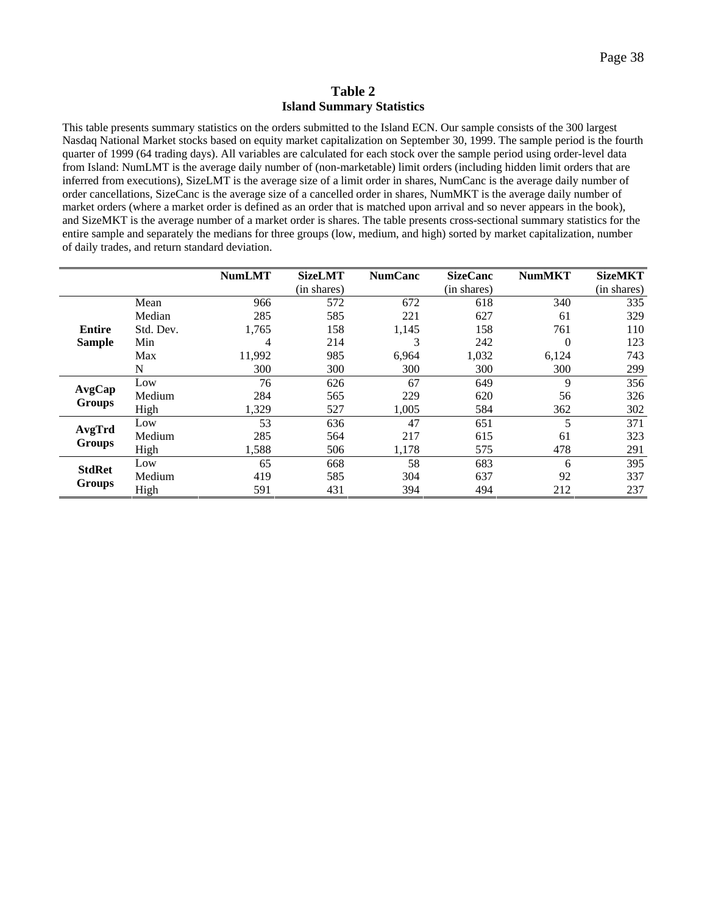#### **Table 2 Island Summary Statistics**

<span id="page-38-0"></span>This table presents summary statistics on the orders submitted to the Island ECN. Our sample consists of the 300 largest Nasdaq National Market stocks based on equity market capitalization on September 30, 1999. The sample period is the fourth quarter of 1999 (64 trading days). All variables are calculated for each stock over the sample period using order-level data from Island: NumLMT is the average daily number of (non-marketable) limit orders (including hidden limit orders that are inferred from executions), SizeLMT is the average size of a limit order in shares, NumCanc is the average daily number of order cancellations, SizeCanc is the average size of a cancelled order in shares, NumMKT is the average daily number of market orders (where a market order is defined as an order that is matched upon arrival and so never appears in the book), and SizeMKT is the average number of a market order is shares. The table presents cross-sectional summary statistics for the entire sample and separately the medians for three groups (low, medium, and high) sorted by market capitalization, number of daily trades, and return standard deviation.

|                         |           | <b>NumLMT</b> | <b>SizeLMT</b> | <b>NumCanc</b> | <b>SizeCanc</b> | <b>NumMKT</b> | <b>SizeMKT</b> |
|-------------------------|-----------|---------------|----------------|----------------|-----------------|---------------|----------------|
|                         |           |               | (in shares)    |                | (in shares)     |               | (in shares)    |
|                         | Mean      | 966           | 572            | 672            | 618             | 340           | 335            |
|                         | Median    | 285           | 585            | 221            | 627             | 61            | 329            |
| <b>Entire</b>           | Std. Dev. | 1,765         | 158            | 1,145          | 158             | 761           | 110            |
| <b>Sample</b>           | Min       | 4             | 214            | 3              | 242             | $\Omega$      | 123            |
|                         | Max       | 11,992        | 985            | 6,964          | 1,032           | 6,124         | 743            |
|                         | N         | 300           | 300            | 300            | 300             | 300           | 299            |
|                         | Low       | 76            | 626            | 67             | 649             | 9             | 356            |
| AvgCap<br><b>Groups</b> | Medium    | 284           | 565            | 229            | 620             | 56            | 326            |
|                         | High      | 1,329         | 527            | 1,005          | 584             | 362           | 302            |
|                         | Low       | 53            | 636            | 47             | 651             | 5             | 371            |
| AvgTrd                  | Medium    | 285           | 564            | 217            | 615             | 61            | 323            |
| <b>Groups</b>           | High      | 1,588         | 506            | 1,178          | 575             | 478           | 291            |
|                         | Low       | 65            | 668            | 58             | 683             | 6             | 395            |
| <b>StdRet</b>           | Medium    | 419           | 585            | 304            | 637             | 92            | 337            |
| <b>Groups</b>           | High      | 591           | 431            | 394            | 494             | 212           | 237            |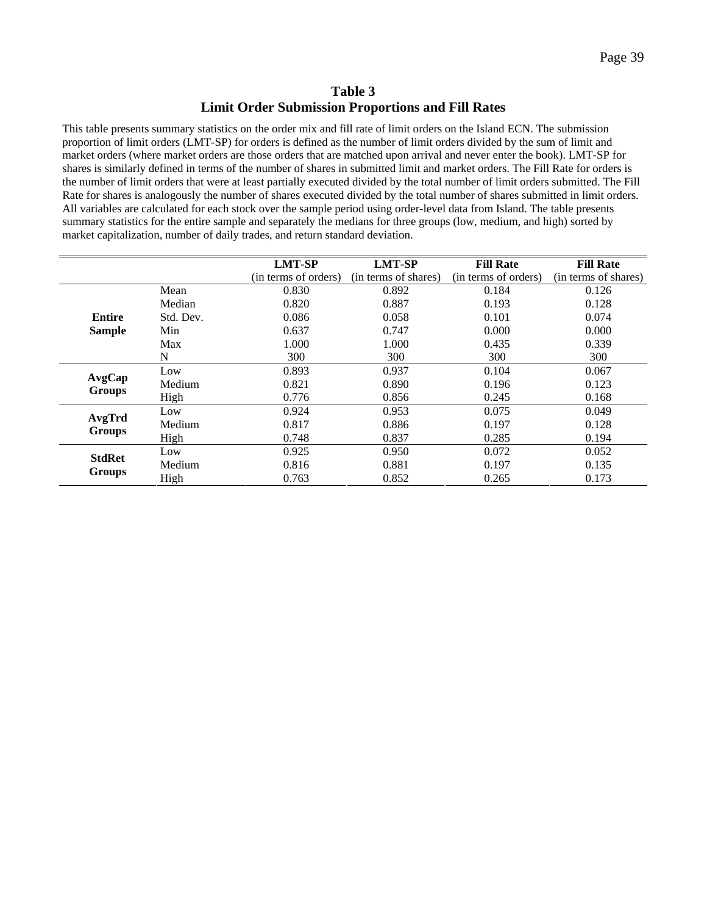## **Table 3 Limit Order Submission Proportions and Fill Rates**

<span id="page-39-0"></span>This table presents summary statistics on the order mix and fill rate of limit orders on the Island ECN. The submission proportion of limit orders (LMT-SP) for orders is defined as the number of limit orders divided by the sum of limit and market orders (where market orders are those orders that are matched upon arrival and never enter the book). LMT-SP for shares is similarly defined in terms of the number of shares in submitted limit and market orders. The Fill Rate for orders is the number of limit orders that were at least partially executed divided by the total number of limit orders submitted. The Fill Rate for shares is analogously the number of shares executed divided by the total number of shares submitted in limit orders. All variables are calculated for each stock over the sample period using order-level data from Island. The table presents summary statistics for the entire sample and separately the medians for three groups (low, medium, and high) sorted by market capitalization, number of daily trades, and return standard deviation.

|               |           | <b>LMT-SP</b>        | <b>LMT-SP</b>        | <b>Fill Rate</b>     | <b>Fill Rate</b>     |
|---------------|-----------|----------------------|----------------------|----------------------|----------------------|
|               |           | (in terms of orders) | (in terms of shares) | (in terms of orders) | (in terms of shares) |
|               | Mean      | 0.830                | 0.892                | 0.184                | 0.126                |
|               | Median    | 0.820                | 0.887                | 0.193                | 0.128                |
| Entire        | Std. Dev. | 0.086                | 0.058                | 0.101                | 0.074                |
| <b>Sample</b> | Min       | 0.637                | 0.747                | 0.000                | 0.000                |
|               | Max       | 1.000                | 1.000                | 0.435                | 0.339                |
|               | N         | 300                  | 300                  | 300                  | 300                  |
|               | Low       | 0.893                | 0.937                | 0.104                | 0.067                |
| AvgCap        | Medium    | 0.821                | 0.890                | 0.196                | 0.123                |
| <b>Groups</b> | High      | 0.776                | 0.856                | 0.245                | 0.168                |
|               | Low       | 0.924                | 0.953                | 0.075                | 0.049                |
| AvgTrd        | Medium    | 0.817                | 0.886                | 0.197                | 0.128                |
| <b>Groups</b> | High      | 0.748                | 0.837                | 0.285                | 0.194                |
| <b>StdRet</b> | Low       | 0.925                | 0.950                | 0.072                | 0.052                |
|               | Medium    | 0.816                | 0.881                | 0.197                | 0.135                |
| <b>Groups</b> | High      | 0.763                | 0.852                | 0.265                | 0.173                |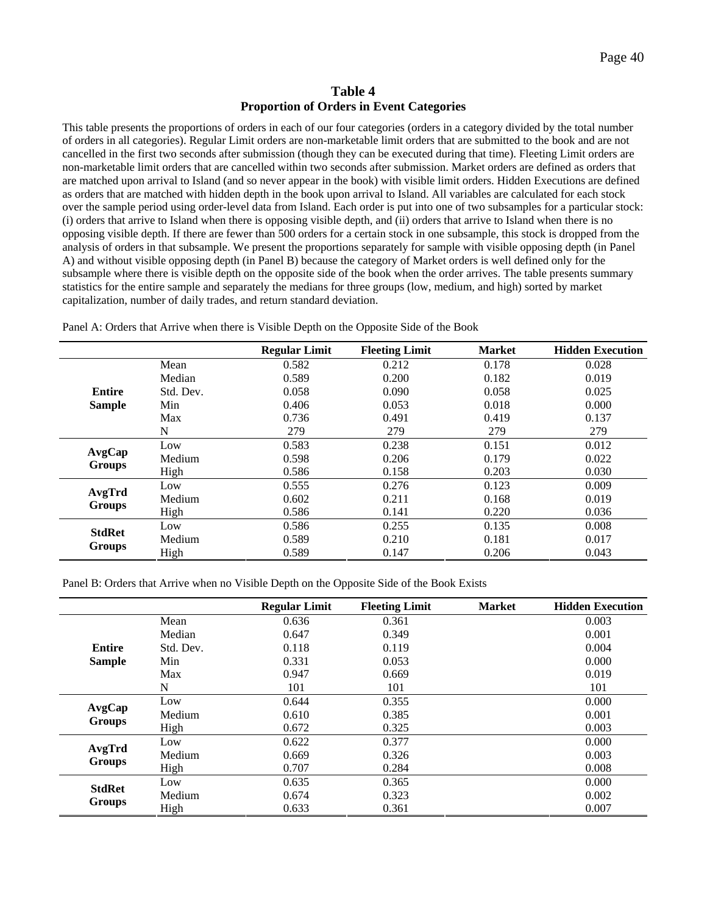#### **Table 4 Proportion of Orders in Event Categories**

<span id="page-40-0"></span>This table presents the proportions of orders in each of our four categories (orders in a category divided by the total number of orders in all categories). Regular Limit orders are non-marketable limit orders that are submitted to the book and are not cancelled in the first two seconds after submission (though they can be executed during that time). Fleeting Limit orders are non-marketable limit orders that are cancelled within two seconds after submission. Market orders are defined as orders that are matched upon arrival to Island (and so never appear in the book) with visible limit orders. Hidden Executions are defined as orders that are matched with hidden depth in the book upon arrival to Island. All variables are calculated for each stock over the sample period using order-level data from Island. Each order is put into one of two subsamples for a particular stock: (i) orders that arrive to Island when there is opposing visible depth, and (ii) orders that arrive to Island when there is no opposing visible depth. If there are fewer than 500 orders for a certain stock in one subsample, this stock is dropped from the analysis of orders in that subsample. We present the proportions separately for sample with visible opposing depth (in Panel A) and without visible opposing depth (in Panel B) because the category of Market orders is well defined only for the subsample where there is visible depth on the opposite side of the book when the order arrives. The table presents summary statistics for the entire sample and separately the medians for three groups (low, medium, and high) sorted by market capitalization, number of daily trades, and return standard deviation.

|               |           | <b>Regular Limit</b> | <b>Fleeting Limit</b> | <b>Market</b> | <b>Hidden Execution</b> |
|---------------|-----------|----------------------|-----------------------|---------------|-------------------------|
|               | Mean      | 0.582                | 0.212                 | 0.178         | 0.028                   |
|               | Median    | 0.589                | 0.200                 | 0.182         | 0.019                   |
| <b>Entire</b> | Std. Dev. | 0.058                | 0.090                 | 0.058         | 0.025                   |
| <b>Sample</b> | Min       | 0.406                | 0.053                 | 0.018         | 0.000                   |
|               | Max       | 0.736                | 0.491                 | 0.419         | 0.137                   |
|               | N         | 279                  | 279                   | 279           | 279                     |
|               | Low       | 0.583                | 0.238                 | 0.151         | 0.012                   |
| AvgCap        | Medium    | 0.598                | 0.206                 | 0.179         | 0.022                   |
| <b>Groups</b> | High      | 0.586                | 0.158                 | 0.203         | 0.030                   |
|               | Low       | 0.555                | 0.276                 | 0.123         | 0.009                   |
| AvgTrd        | Medium    | 0.602                | 0.211                 | 0.168         | 0.019                   |
| <b>Groups</b> | High      | 0.586                | 0.141                 | 0.220         | 0.036                   |
|               | Low       | 0.586                | 0.255                 | 0.135         | 0.008                   |
| <b>StdRet</b> | Medium    | 0.589                | 0.210                 | 0.181         | 0.017                   |
| <b>Groups</b> | High      | 0.589                | 0.147                 | 0.206         | 0.043                   |

Panel A: Orders that Arrive when there is Visible Depth on the Opposite Side of the Book

Panel B: Orders that Arrive when no Visible Depth on the Opposite Side of the Book Exists

|               |           | <b>Regular Limit</b> | <b>Fleeting Limit</b> | <b>Market</b> | <b>Hidden Execution</b> |
|---------------|-----------|----------------------|-----------------------|---------------|-------------------------|
|               | Mean      | 0.636                | 0.361                 |               | 0.003                   |
|               | Median    | 0.647                | 0.349                 |               | 0.001                   |
| <b>Entire</b> | Std. Dev. | 0.118                | 0.119                 |               | 0.004                   |
| <b>Sample</b> | Min       | 0.331                | 0.053                 |               | 0.000                   |
|               | Max       | 0.947                | 0.669                 |               | 0.019                   |
|               | N         | 101                  | 101                   |               | 101                     |
|               | Low       | 0.644                | 0.355                 |               | 0.000                   |
| AvgCap        | Medium    | 0.610                | 0.385                 |               | 0.001                   |
| <b>Groups</b> | High      | 0.672                | 0.325                 |               | 0.003                   |
|               | Low       | 0.622                | 0.377                 |               | 0.000                   |
| AvgTrd        | Medium    | 0.669                | 0.326                 |               | 0.003                   |
| <b>Groups</b> | High      | 0.707                | 0.284                 |               | 0.008                   |
|               | Low       | 0.635                | 0.365                 |               | 0.000                   |
| <b>StdRet</b> | Medium    | 0.674                | 0.323                 |               | 0.002                   |
| <b>Groups</b> | High      | 0.633                | 0.361                 |               | 0.007                   |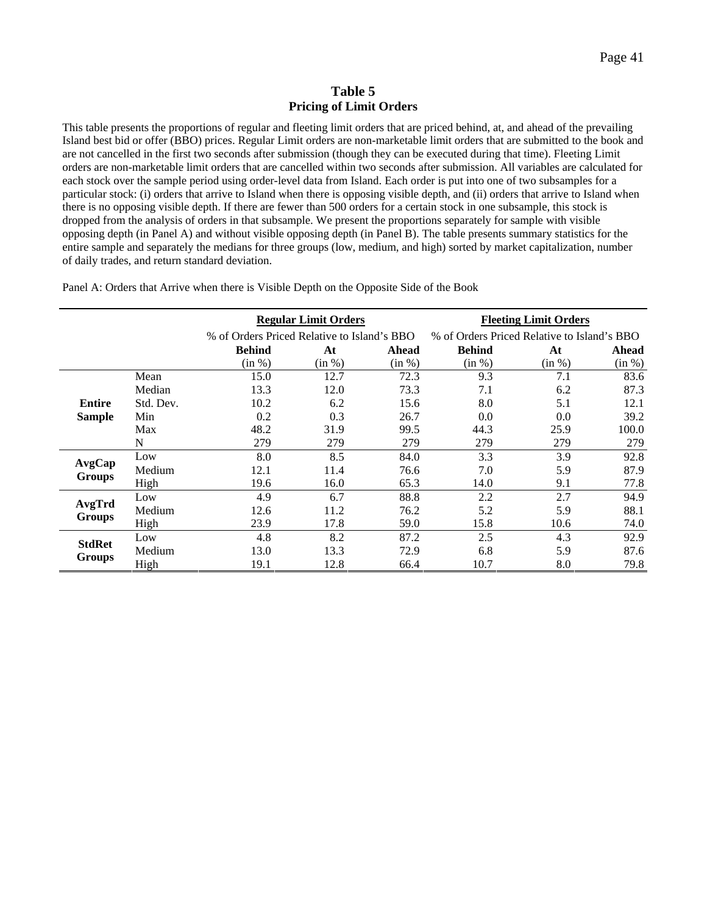#### **Table 5 Pricing of Limit Orders**

This table presents the proportions of regular and fleeting limit orders that are priced behind, at, and ahead of the prevailing Island best bid or offer (BBO) prices. Regular Limit orders are non-marketable limit orders that are submitted to the book and are not cancelled in the first two seconds after submission (though they can be executed during that time). Fleeting Limit orders are non-marketable limit orders that are cancelled within two seconds after submission. All variables are calculated for each stock over the sample period using order-level data from Island. Each order is put into one of two subsamples for a particular stock: (i) orders that arrive to Island when there is opposing visible depth, and (ii) orders that arrive to Island when there is no opposing visible depth. If there are fewer than 500 orders for a certain stock in one subsample, this stock is dropped from the analysis of orders in that subsample. We present the proportions separately for sample with visible opposing depth (in Panel A) and without visible opposing depth (in Panel B). The table presents summary statistics for the entire sample and separately the medians for three groups (low, medium, and high) sorted by market capitalization, number of daily trades, and return standard deviation.

Panel A: Orders that Arrive when there is Visible Depth on the Opposite Side of the Book

|               |           |               | <b>Regular Limit Orders</b>                 |        |               | <b>Fleeting Limit Orders</b>                |        |
|---------------|-----------|---------------|---------------------------------------------|--------|---------------|---------------------------------------------|--------|
|               |           |               | % of Orders Priced Relative to Island's BBO |        |               | % of Orders Priced Relative to Island's BBO |        |
|               |           | <b>Behind</b> | At                                          | Ahead  | <b>Behind</b> | At                                          | Ahead  |
|               |           | (in %)        | (in %)                                      | (in %) | (in %)        | (in %)                                      | (in %) |
|               | Mean      | 15.0          | 12.7                                        | 72.3   | 9.3           | 7.1                                         | 83.6   |
|               | Median    | 13.3          | 12.0                                        | 73.3   | 7.1           | 6.2                                         | 87.3   |
| <b>Entire</b> | Std. Dev. | 10.2          | 6.2                                         | 15.6   | 8.0           | 5.1                                         | 12.1   |
| <b>Sample</b> | Min       | 0.2           | 0.3                                         | 26.7   | 0.0           | 0.0                                         | 39.2   |
|               | Max       | 48.2          | 31.9                                        | 99.5   | 44.3          | 25.9                                        | 100.0  |
|               | N         | 279           | 279                                         | 279    | 279           | 279                                         | 279    |
|               | Low       | 8.0           | 8.5                                         | 84.0   | 3.3           | 3.9                                         | 92.8   |
| AvgCap        | Medium    | 12.1          | 11.4                                        | 76.6   | 7.0           | 5.9                                         | 87.9   |
| <b>Groups</b> | High      | 19.6          | 16.0                                        | 65.3   | 14.0          | 9.1                                         | 77.8   |
|               | Low       | 4.9           | 6.7                                         | 88.8   | 2.2           | 2.7                                         | 94.9   |
| AvgTrd        | Medium    | 12.6          | 11.2                                        | 76.2   | 5.2           | 5.9                                         | 88.1   |
| <b>Groups</b> | High      | 23.9          | 17.8                                        | 59.0   | 15.8          | 10.6                                        | 74.0   |
|               | Low       | 4.8           | 8.2                                         | 87.2   | 2.5           | 4.3                                         | 92.9   |
| <b>StdRet</b> | Medium    | 13.0          | 13.3                                        | 72.9   | 6.8           | 5.9                                         | 87.6   |
| <b>Groups</b> | High      | 19.1          | 12.8                                        | 66.4   | 10.7          | 8.0                                         | 79.8   |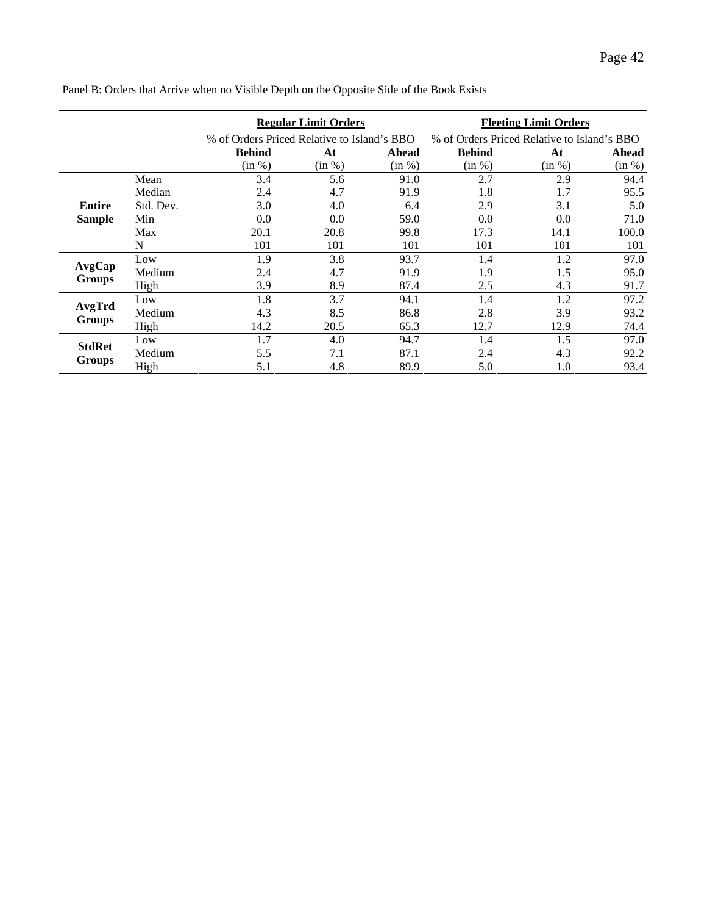|               |           |                                             | <b>Regular Limit Orders</b> |        |                                             | <b>Fleeting Limit Orders</b> |        |
|---------------|-----------|---------------------------------------------|-----------------------------|--------|---------------------------------------------|------------------------------|--------|
|               |           | % of Orders Priced Relative to Island's BBO |                             |        | % of Orders Priced Relative to Island's BBO |                              |        |
|               |           | <b>Behind</b>                               | At                          | Ahead  | <b>Behind</b>                               | At                           | Ahead  |
|               |           | (in %)                                      | (in %)                      | (in %) | (in %)                                      | (in %)                       | (in %) |
|               | Mean      | 3.4                                         | 5.6                         | 91.0   | 2.7                                         | 2.9                          | 94.4   |
|               | Median    | 2.4                                         | 4.7                         | 91.9   | 1.8                                         | 1.7                          | 95.5   |
| <b>Entire</b> | Std. Dev. | 3.0                                         | 4.0                         | 6.4    | 2.9                                         | 3.1                          | 5.0    |
| <b>Sample</b> | Min       | 0.0                                         | 0.0                         | 59.0   | 0.0                                         | 0.0                          | 71.0   |
|               | Max       | 20.1                                        | 20.8                        | 99.8   | 17.3                                        | 14.1                         | 100.0  |
|               | N         | 101                                         | 101                         | 101    | 101                                         | 101                          | 101    |
|               | Low       | 1.9                                         | 3.8                         | 93.7   | 1.4                                         | 1.2                          | 97.0   |
| AvgCap        | Medium    | 2.4                                         | 4.7                         | 91.9   | 1.9                                         | 1.5                          | 95.0   |
| <b>Groups</b> | High      | 3.9                                         | 8.9                         | 87.4   | 2.5                                         | 4.3                          | 91.7   |
|               | Low       | 1.8                                         | 3.7                         | 94.1   | 1.4                                         | 1.2                          | 97.2   |
| AvgTrd        | Medium    | 4.3                                         | 8.5                         | 86.8   | 2.8                                         | 3.9                          | 93.2   |
| <b>Groups</b> | High      | 14.2                                        | 20.5                        | 65.3   | 12.7                                        | 12.9                         | 74.4   |
|               | Low       | 1.7                                         | 4.0                         | 94.7   | 1.4                                         | 1.5                          | 97.0   |
| <b>StdRet</b> | Medium    | 5.5                                         | 7.1                         | 87.1   | 2.4                                         | 4.3                          | 92.2   |
| <b>Groups</b> | High      | 5.1                                         | 4.8                         | 89.9   | 5.0                                         | 1.0                          | 93.4   |

Panel B: Orders that Arrive when no Visible Depth on the Opposite Side of the Book Exists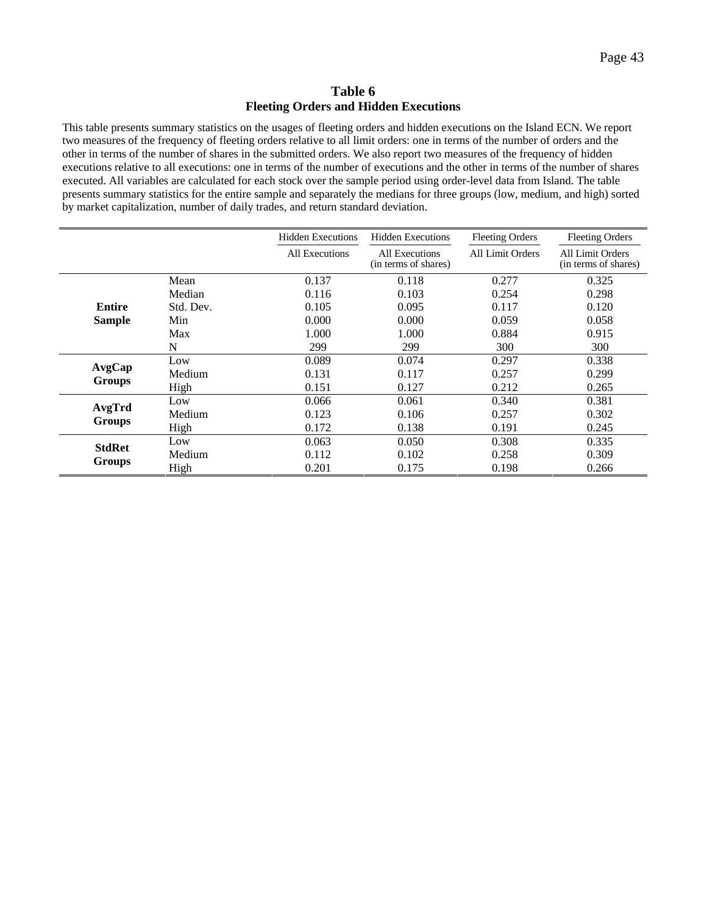## **Table 6 Fleeting Orders and Hidden Executions**

This table presents summary statistics on the usages of fleeting orders and hidden executions on the Island ECN. We report two measures of the frequency of fleeting orders relative to all limit orders: one in terms of the number of orders and the other in terms of the number of shares in the submitted orders. We also report two measures of the frequency of hidden executions relative to all executions: one in terms of the number of executions and the other in terms of the number of shares executed. All variables are calculated for each stock over the sample period using order-level data from Island. The table presents summary statistics for the entire sample and separately the medians for three groups (low, medium, and high) sorted by market capitalization, number of daily trades, and return standard deviation.

|                         |           | <b>Hidden Executions</b> | <b>Hidden Executions</b>               | <b>Fleeting Orders</b> | <b>Fleeting Orders</b>                   |
|-------------------------|-----------|--------------------------|----------------------------------------|------------------------|------------------------------------------|
|                         |           | All Executions           | All Executions<br>(in terms of shares) | All Limit Orders       | All Limit Orders<br>(in terms of shares) |
|                         | Mean      | 0.137                    | 0.118                                  | 0.277                  | 0.325                                    |
|                         | Median    | 0.116                    | 0.103                                  | 0.254                  | 0.298                                    |
| Entire                  | Std. Dev. | 0.105                    | 0.095                                  | 0.117                  | 0.120                                    |
| <b>Sample</b>           | Min       | 0.000                    | 0.000                                  | 0.059                  | 0.058                                    |
|                         | Max       | 1.000                    | 1.000                                  | 0.884                  | 0.915                                    |
|                         | N         | 299                      | 299                                    | 300                    | 300                                      |
|                         | Low       | 0.089                    | 0.074                                  | 0.297                  | 0.338                                    |
| AvgCap                  | Medium    | 0.131                    | 0.117                                  | 0.257                  | 0.299                                    |
| <b>Groups</b>           | High      | 0.151                    | 0.127                                  | 0.212                  | 0.265                                    |
|                         | Low       | 0.066                    | 0.061                                  | 0.340                  | 0.381                                    |
| AvgTrd<br><b>Groups</b> | Medium    | 0.123                    | 0.106                                  | 0.257                  | 0.302                                    |
|                         | High      | 0.172                    | 0.138                                  | 0.191                  | 0.245                                    |
| <b>StdRet</b>           | Low       | 0.063                    | 0.050                                  | 0.308                  | 0.335                                    |
|                         | Medium    | 0.112                    | 0.102                                  | 0.258                  | 0.309                                    |
| <b>Groups</b>           | High      | 0.201                    | 0.175                                  | 0.198                  | 0.266                                    |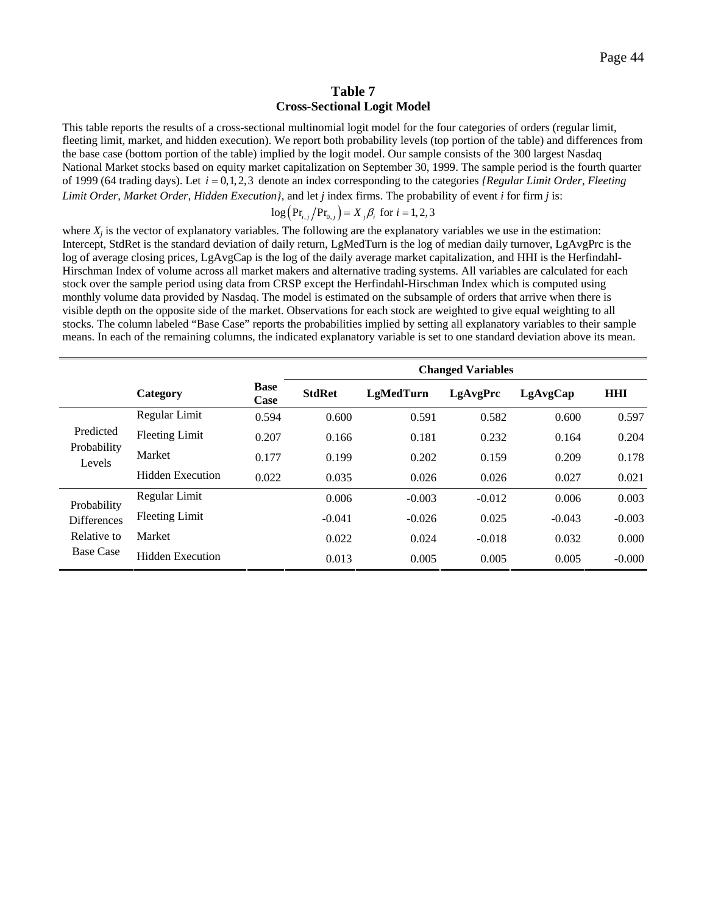#### **Table 7 Cross-Sectional Logit Model**

This table reports the results of a cross-sectional multinomial logit model for the four categories of orders (regular limit, fleeting limit, market, and hidden execution). We report both probability levels (top portion of the table) and differences from the base case (bottom portion of the table) implied by the logit model. Our sample consists of the 300 largest Nasdaq National Market stocks based on equity market capitalization on September 30, 1999. The sample period is the fourth quarter of 1999 (64 trading days). Let *i* = 0,1,2,3 denote an index corresponding to the categories *{Regular Limit Order, Fleeting Limit Order, Market Order, Hidden Execution}*, and let *j* index firms. The probability of event *i* for firm *j* is:

$$
\log(\text{Pr}_{i,j}/\text{Pr}_{0,j}) = X_j \beta_i \text{ for } i = 1,2,3
$$

where  $X_i$  is the vector of explanatory variables. The following are the explanatory variables we use in the estimation: Intercept, StdRet is the standard deviation of daily return, LgMedTurn is the log of median daily turnover, LgAvgPrc is the log of average closing prices, LgAvgCap is the log of the daily average market capitalization, and HHI is the Herfindahl-Hirschman Index of volume across all market makers and alternative trading systems. All variables are calculated for each stock over the sample period using data from CRSP except the Herfindahl-Hirschman Index which is computed using monthly volume data provided by Nasdaq. The model is estimated on the subsample of orders that arrive when there is visible depth on the opposite side of the market. Observations for each stock are weighted to give equal weighting to all stocks. The column labeled "Base Case" reports the probabilities implied by setting all explanatory variables to their sample means. In each of the remaining columns, the indicated explanatory variable is set to one standard deviation above its mean.

|                       |                         |                     |               |                  | <b>Changed Variables</b> |          |            |
|-----------------------|-------------------------|---------------------|---------------|------------------|--------------------------|----------|------------|
|                       | Category                | <b>Base</b><br>Case | <b>StdRet</b> | <b>LgMedTurn</b> | LgAvgPrc                 | LgAvgCap | <b>HHI</b> |
|                       | Regular Limit           | 0.594               | 0.600         | 0.591            | 0.582                    | 0.600    | 0.597      |
| Predicted             | <b>Fleeting Limit</b>   | 0.207               | 0.166         | 0.181            | 0.232                    | 0.164    | 0.204      |
| Probability<br>Levels | Market                  | 0.177               | 0.199         | 0.202            | 0.159                    | 0.209    | 0.178      |
|                       | <b>Hidden Execution</b> | 0.022               | 0.035         | 0.026            | 0.026                    | 0.027    | 0.021      |
| Probability           | Regular Limit           |                     | 0.006         | $-0.003$         | $-0.012$                 | 0.006    | 0.003      |
| <b>Differences</b>    | <b>Fleeting Limit</b>   |                     | $-0.041$      | $-0.026$         | 0.025                    | $-0.043$ | $-0.003$   |
| Relative to           | Market                  |                     | 0.022         | 0.024            | $-0.018$                 | 0.032    | 0.000      |
| <b>Base Case</b>      | <b>Hidden Execution</b> |                     | 0.013         | 0.005            | 0.005                    | 0.005    | $-0.000$   |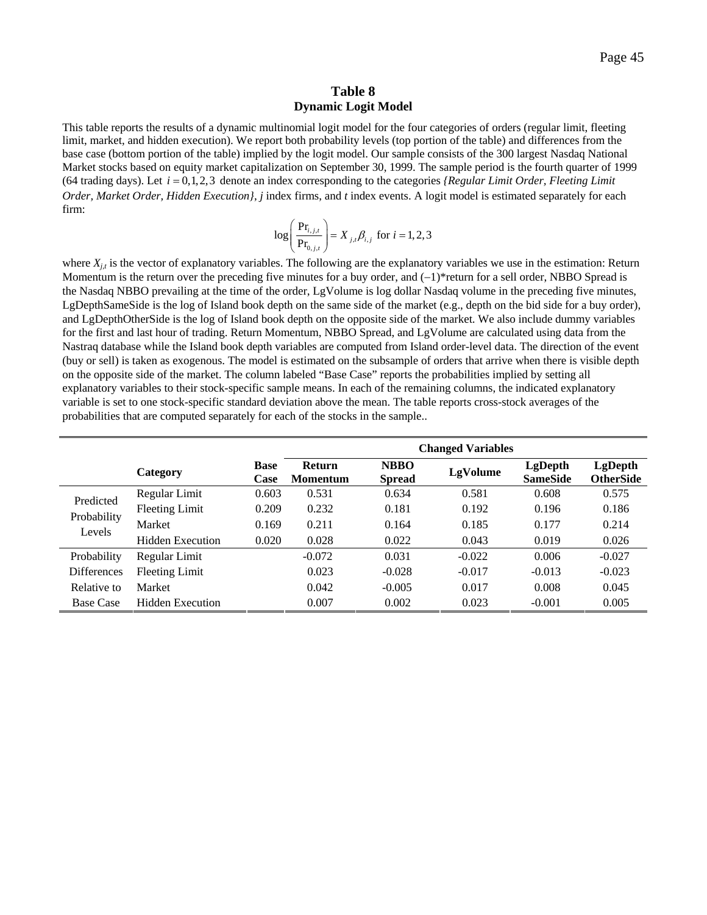#### **Table 8 Dynamic Logit Model**

This table reports the results of a dynamic multinomial logit model for the four categories of orders (regular limit, fleeting limit, market, and hidden execution). We report both probability levels (top portion of the table) and differences from the base case (bottom portion of the table) implied by the logit model. Our sample consists of the 300 largest Nasdaq National Market stocks based on equity market capitalization on September 30, 1999. The sample period is the fourth quarter of 1999  $(64$  trading days). Let  $i = 0, 1, 2, 3$  denote an index corresponding to the categories *{Regular Limit Order, Fleeting Limit Order, Market Order, Hidden Execution}*, *j* index firms, and *t* index events. A logit model is estimated separately for each firm:

$$
\log \left( \frac{\Pr_{i,j,t}}{\Pr_{0,j,t}} \right) = X_{j,t} \beta_{i,j} \text{ for } i = 1,2,3
$$

where  $X_{i,t}$  is the vector of explanatory variables. The following are the explanatory variables we use in the estimation: Return Momentum is the return over the preceding five minutes for a buy order, and  $(-1)$ \*return for a sell order, NBBO Spread is the Nasdaq NBBO prevailing at the time of the order, LgVolume is log dollar Nasdaq volume in the preceding five minutes, LgDepthSameSide is the log of Island book depth on the same side of the market (e.g., depth on the bid side for a buy order), and LgDepthOtherSide is the log of Island book depth on the opposite side of the market. We also include dummy variables for the first and last hour of trading. Return Momentum, NBBO Spread, and LgVolume are calculated using data from the Nastraq database while the Island book depth variables are computed from Island order-level data. The direction of the event (buy or sell) is taken as exogenous. The model is estimated on the subsample of orders that arrive when there is visible depth on the opposite side of the market. The column labeled "Base Case" reports the probabilities implied by setting all explanatory variables to their stock-specific sample means. In each of the remaining columns, the indicated explanatory variable is set to one stock-specific standard deviation above the mean. The table reports cross-stock averages of the probabilities that are computed separately for each of the stocks in the sample..

|                       |                         |                     | <b>Changed Variables</b>         |                              |          |                            |                                    |  |
|-----------------------|-------------------------|---------------------|----------------------------------|------------------------------|----------|----------------------------|------------------------------------|--|
|                       | Category                | <b>Base</b><br>Case | <b>Return</b><br><b>Momentum</b> | <b>NBBO</b><br><b>Spread</b> | LgVolume | LgDepth<br><b>SameSide</b> | <b>LgDepth</b><br><b>OtherSide</b> |  |
| Predicted             | Regular Limit           | 0.603               | 0.531                            | 0.634                        | 0.581    | 0.608                      | 0.575                              |  |
|                       | <b>Fleeting Limit</b>   | 0.209               | 0.232                            | 0.181                        | 0.192    | 0.196                      | 0.186                              |  |
| Probability<br>Levels | Market                  | 0.169               | 0.211                            | 0.164                        | 0.185    | 0.177                      | 0.214                              |  |
|                       | <b>Hidden Execution</b> | 0.020               | 0.028                            | 0.022                        | 0.043    | 0.019                      | 0.026                              |  |
| Probability           | Regular Limit           |                     | $-0.072$                         | 0.031                        | $-0.022$ | 0.006                      | $-0.027$                           |  |
| <b>Differences</b>    | <b>Fleeting Limit</b>   |                     | 0.023                            | $-0.028$                     | $-0.017$ | $-0.013$                   | $-0.023$                           |  |
| Relative to           | Market                  |                     | 0.042                            | $-0.005$                     | 0.017    | 0.008                      | 0.045                              |  |
| <b>Base Case</b>      | <b>Hidden Execution</b> |                     | 0.007                            | 0.002                        | 0.023    | $-0.001$                   | 0.005                              |  |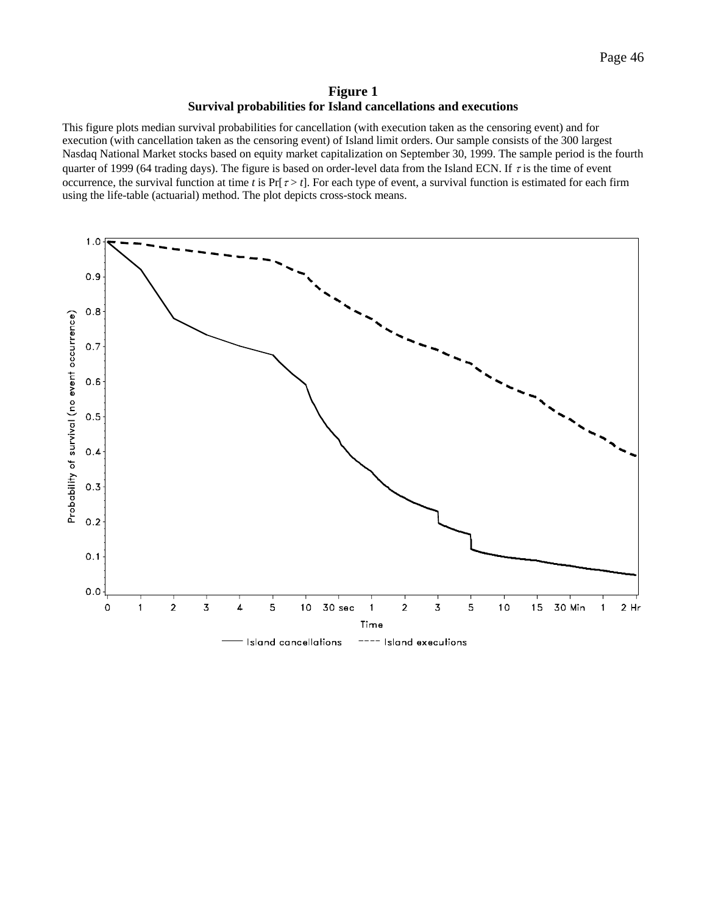## **Figure 1 Survival probabilities for Island cancellations and executions**

<span id="page-46-0"></span>This figure plots median survival probabilities for cancellation (with execution taken as the censoring event) and for execution (with cancellation taken as the censoring event) of Island limit orders. Our sample consists of the 300 largest Nasdaq National Market stocks based on equity market capitalization on September 30, 1999. The sample period is the fourth quarter of 1999 (64 trading days). The figure is based on order-level data from the Island ECN. If  $\tau$  is the time of event occurrence, the survival function at time *t* is  $Pr[\tau > t]$ . For each type of event, a survival function is estimated for each firm using the life-table (actuarial) method. The plot depicts cross-stock means.